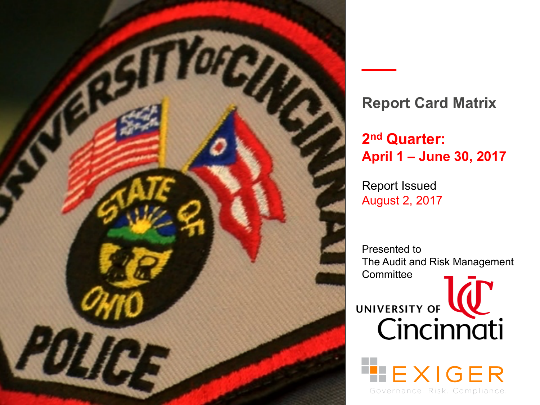

## **Report Card Matrix**

## **2nd Quarter: April 1 – June 30, 2017**

Report Issued August 2, 2017

Presented to The Audit and Risk Management **Committee** 

UNIVERSITY OF **WWW.** 

EXIGER

Governance, Risk, Compliance,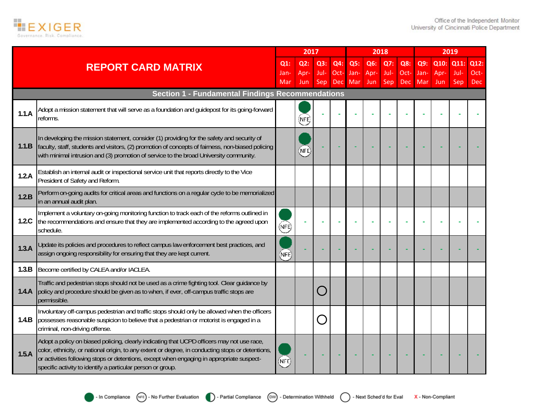

|       |                                                                                                                                                                                                                                                                                                                                                             |                | 2017        |             |             |             |             | 2018        |             |             |              | 2019        |              |
|-------|-------------------------------------------------------------------------------------------------------------------------------------------------------------------------------------------------------------------------------------------------------------------------------------------------------------------------------------------------------------|----------------|-------------|-------------|-------------|-------------|-------------|-------------|-------------|-------------|--------------|-------------|--------------|
|       | <b>REPORT CARD MATRIX</b>                                                                                                                                                                                                                                                                                                                                   | $Q1$ :<br>Jan- | Q2:<br>Apr- | Q3:<br>Jul- | Q4:<br>Oct- | Q5:<br>Jan- | Q6:<br>Apr- | Q7:<br>Jul- | Q8:<br>Oct- | Q9:<br>Jan- | Q10:<br>Apr- | Q11<br>Jul- | Q12:<br>Oct- |
|       |                                                                                                                                                                                                                                                                                                                                                             | Mar            | <b>Jun</b>  | Sep         | <b>Dec</b>  | Mar         | Jun         | Sep         | <b>Dec</b>  | Mar         | <b>Jun</b>   | Sep         | Dec          |
|       | <b>Section 1 - Fundamental Findings Recommendations</b>                                                                                                                                                                                                                                                                                                     |                |             |             |             |             |             |             |             |             |              |             |              |
| 1.1.A | Adopt a mission statement that will serve as a foundation and quidepost for its going-forward<br>reforms.                                                                                                                                                                                                                                                   |                | NFE,        |             |             |             |             |             |             |             |              |             |              |
| 1.1.B | In developing the mission statement, consider (1) providing for the safety and security of<br>faculty, staff, students and visitors, (2) promotion of concepts of fairness, non-biased policing<br>with minimal intrusion and (3) promotion of service to the broad University community.                                                                   |                | (nfè        |             |             |             |             |             |             |             |              |             |              |
| 1.2.A | Establish an internal audit or inspectional service unit that reports directly to the Vice<br>President of Safety and Reform.                                                                                                                                                                                                                               |                |             |             |             |             |             |             |             |             |              |             |              |
| 1.2.B | Perform on-going audits for critical areas and functions on a regular cycle to be memorialized<br>in an annual audit plan.                                                                                                                                                                                                                                  |                |             |             |             |             |             |             |             |             |              |             |              |
| 1.2.C | Implement a voluntary on-going monitoring function to track each of the reforms outlined in<br>the recommendations and ensure that they are implemented according to the agreed upon<br>schedule.                                                                                                                                                           | (NFE)          |             |             |             |             |             |             |             |             |              |             |              |
| 1.3.A | Update its policies and procedures to reflect campus law enforcement best practices, and<br>assign ongoing responsibility for ensuring that they are kept current.                                                                                                                                                                                          | (NFE           |             |             |             |             |             |             |             |             |              |             |              |
| 1.3.B | Become certified by CALEA and/or IACLEA.                                                                                                                                                                                                                                                                                                                    |                |             |             |             |             |             |             |             |             |              |             |              |
| 1.4.A | Traffic and pedestrian stops should not be used as a crime fighting tool. Clear guidance by<br>policy and procedure should be given as to when, if ever, off-campus traffic stops are<br>permissible.                                                                                                                                                       |                |             |             |             |             |             |             |             |             |              |             |              |
| 1.4.B | Involuntary off-campus pedestrian and traffic stops should only be allowed when the officers<br>possesses reasonable suspicion to believe that a pedestrian or motorist is engaged in a<br>criminal, non-driving offense.                                                                                                                                   |                |             |             |             |             |             |             |             |             |              |             |              |
| 1.5.A | Adopt a policy on biased policing, clearly indicating that UCPD officers may not use race,<br>color, ethnicity, or national origin, to any extent or degree, in conducting stops or detentions,<br>or activities following stops or detentions, except when engaging in appropriate suspect-<br>specific activity to identify a particular person or group. | (NFE)          |             |             |             |             |             |             |             |             |              |             |              |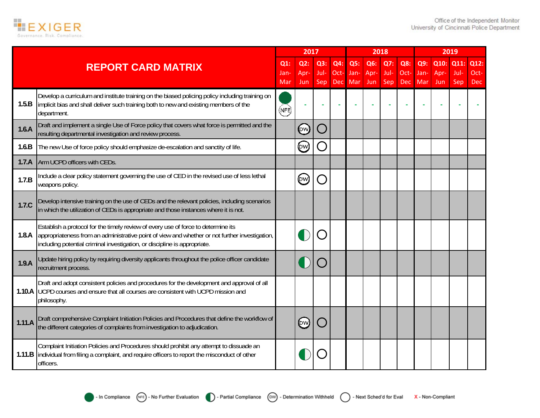

|        |                                                                                                                                                                                                                                                                  |                | 2017        |             |             |             | 2018        |             |             |             |              | 2019         |              |
|--------|------------------------------------------------------------------------------------------------------------------------------------------------------------------------------------------------------------------------------------------------------------------|----------------|-------------|-------------|-------------|-------------|-------------|-------------|-------------|-------------|--------------|--------------|--------------|
|        | <b>REPORT CARD MATRIX</b>                                                                                                                                                                                                                                        | $Q1$ :<br>Jan- | Q2:<br>Apr- | Q3:<br>Jul- | Q4:<br>Oct- | Q5:<br>Jan- | Q6:<br>Apr- | Q7:<br>Jul- | Q8:<br>Oct- | Q9:<br>Jan- | Q10:<br>Apr- | Q11:<br>Jul- | Q12:<br>Oct- |
|        |                                                                                                                                                                                                                                                                  | Mar            | Jun.        | Sep         | <b>Dec</b>  | Mar         | Jun         | Sep         | <b>Dec</b>  | Mar         | Jun          | Sep          | <b>Dec</b>   |
| 1.5.B  | Develop a curriculum and institute training on the biased policing policy including training on<br>implicit bias and shall deliver such training both to new and existing members of the<br>department.                                                          | (NFE)          |             |             |             |             |             |             |             |             |              |              |              |
| 1.6.A  | Draft and implement a single Use of Force policy that covers what force is permitted and the<br>resulting departmental investigation and review process.                                                                                                         |                | (pw)        |             |             |             |             |             |             |             |              |              |              |
| 1.6.B  | The new Use of force policy should emphasize de-escalation and sanctity of life.                                                                                                                                                                                 |                | (DW)        |             |             |             |             |             |             |             |              |              |              |
| 1.7.A  | Arm UCPD officers with CEDs.                                                                                                                                                                                                                                     |                |             |             |             |             |             |             |             |             |              |              |              |
| 1.7.B  | Include a clear policy statement governing the use of CED in the revised use of less lethal<br>weapons policy.                                                                                                                                                   |                | (DW)        |             |             |             |             |             |             |             |              |              |              |
| 1.7.C  | Develop intensive training on the use of CEDs and the relevant policies, including scenarios<br>in which the utilization of CEDs is appropriate and those instances where it is not.                                                                             |                |             |             |             |             |             |             |             |             |              |              |              |
| 1.8.A  | Establish a protocol for the timely review of every use of force to determine its<br>appropriateness from an administrative point of view and whether or not further investigation,<br>including potential criminal investigation, or discipline is appropriate. |                |             |             |             |             |             |             |             |             |              |              |              |
| 1.9.A  | Update hiring policy by requiring diversity applicants throughout the police officer candidate<br>recruitment process.                                                                                                                                           |                |             |             |             |             |             |             |             |             |              |              |              |
|        | Draft and adopt consistent policies and procedures for the development and approval of all<br>1.10.A UCPD courses and ensure that all courses are consistent with UCPD mission and<br>philosophy.                                                                |                |             |             |             |             |             |             |             |             |              |              |              |
| 1.11.A | Draft comprehensive Complaint Initiation Policies and Procedures that define the workflow of<br>the different categories of complaints from investigation to adjudication.                                                                                       |                | (pw)        |             |             |             |             |             |             |             |              |              |              |
|        | Complaint Initiation Policies and Procedures should prohibit any attempt to dissuade an<br>1.11.B individual from filing a complaint, and require officers to report the misconduct of other<br>officers.                                                        |                |             |             |             |             |             |             |             |             |              |              |              |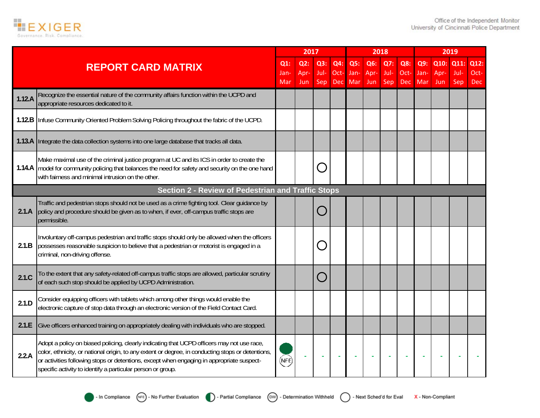

|        |                                                                                                                                                                                                                                                                                                                                                             |             | 2017        |             |                    |             | 2018        |             |             |             |             | 2019        |                    |
|--------|-------------------------------------------------------------------------------------------------------------------------------------------------------------------------------------------------------------------------------------------------------------------------------------------------------------------------------------------------------------|-------------|-------------|-------------|--------------------|-------------|-------------|-------------|-------------|-------------|-------------|-------------|--------------------|
|        | <b>REPORT CARD MATRIX</b>                                                                                                                                                                                                                                                                                                                                   | $Q1$ :      | Q2:         | Q3:         | Q4:                | Q5:         | Q6:         | Q7:         | Q8:         | Q9:         | Q10:        | Q11:        | Q12:               |
|        |                                                                                                                                                                                                                                                                                                                                                             | Jan-<br>Mar | Apr-<br>Jun | Jul-<br>Sep | Oct-<br><b>Dec</b> | Jan-<br>Mar | Apr-<br>Jun | Jul-<br>Sep | Oct-<br>Dec | Jan-<br>Mar | Apr-<br>Jun | Jul-<br>Sep | Oct-<br><b>Dec</b> |
| 1.12.A | Recognize the essential nature of the community affairs function within the UCPD and<br>appropriate resources dedicated to it.                                                                                                                                                                                                                              |             |             |             |                    |             |             |             |             |             |             |             |                    |
|        | 1.12.B Infuse Community Oriented Problem Solving Policing throughout the fabric of the UCPD.                                                                                                                                                                                                                                                                |             |             |             |                    |             |             |             |             |             |             |             |                    |
|        | 1.13.A Integrate the data collection systems into one large database that tracks all data.                                                                                                                                                                                                                                                                  |             |             |             |                    |             |             |             |             |             |             |             |                    |
|        | Make maximal use of the criminal justice program at UC and its ICS in order to create the<br>1.14.A   model for community policing that balances the need for safety and security on the one hand<br>with fairness and minimal intrusion on the other.                                                                                                      |             |             |             |                    |             |             |             |             |             |             |             |                    |
|        | <b>Section 2 - Review of Pedestrian and Traffic Stops</b>                                                                                                                                                                                                                                                                                                   |             |             |             |                    |             |             |             |             |             |             |             |                    |
| 2.1.A  | Traffic and pedestrian stops should not be used as a crime fighting tool. Clear guidance by<br>policy and procedure should be given as to when, if ever, off-campus traffic stops are<br>permissible.                                                                                                                                                       |             |             |             |                    |             |             |             |             |             |             |             |                    |
| 2.1.B  | Involuntary off-campus pedestrian and traffic stops should only be allowed when the officers<br>possesses reasonable suspicion to believe that a pedestrian or motorist is engaged in a<br>criminal, non-driving offense.                                                                                                                                   |             |             |             |                    |             |             |             |             |             |             |             |                    |
| 2.1.C  | To the extent that any safety-related off-campus traffic stops are allowed, particular scrutiny<br>of each such stop should be applied by UCPD Administration.                                                                                                                                                                                              |             |             |             |                    |             |             |             |             |             |             |             |                    |
| 2.1.D  | Consider equipping officers with tablets which among other things would enable the<br>electronic capture of stop data through an electronic version of the Field Contact Card.                                                                                                                                                                              |             |             |             |                    |             |             |             |             |             |             |             |                    |
| 2.1.E  | Give officers enhanced training on appropriately dealing with individuals who are stopped.                                                                                                                                                                                                                                                                  |             |             |             |                    |             |             |             |             |             |             |             |                    |
| 2.2.A  | Adopt a policy on biased policing, clearly indicating that UCPD officers may not use race,<br>color, ethnicity, or national origin, to any extent or degree, in conducting stops or detentions,<br>or activities following stops or detentions, except when engaging in appropriate suspect-<br>specific activity to identify a particular person or group. | (NFE)       |             |             |                    |             |             |             |             |             |             |             |                    |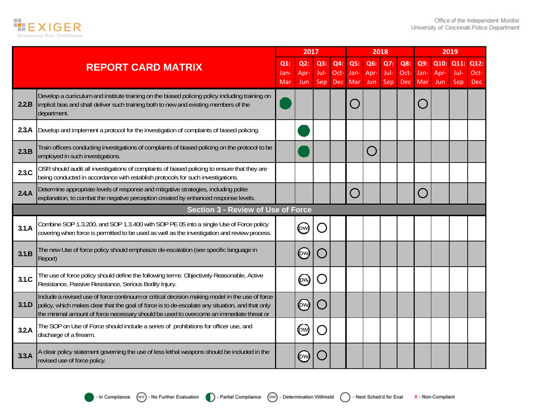

|       |                                                                                                                                                                                                                                                                                              |            | 2017        |             |             |             |             | 2018        |             |             |              | 2019         |              |
|-------|----------------------------------------------------------------------------------------------------------------------------------------------------------------------------------------------------------------------------------------------------------------------------------------------|------------|-------------|-------------|-------------|-------------|-------------|-------------|-------------|-------------|--------------|--------------|--------------|
|       | <b>REPORT CARD MATRIX</b>                                                                                                                                                                                                                                                                    | Q1:<br>Jan | Q2:<br>Apr- | Q3:<br>Jul- | Q4:<br>Oct- | Q5:<br>Jan- | Q6:<br>Apr- | Q7:<br>Jul- | Q8:<br>Oct- | Q9:<br>Jan- | Q10:<br>Apr- | Q11:<br>Jul- | Q12:<br>Oct- |
|       |                                                                                                                                                                                                                                                                                              | Mar        | Jun         | <b>Sep</b>  | Dec         | Mar         | Jun         | <b>Sep</b>  | Dec         | Mar         | Jun          | Sep          | Dec          |
| 2.2.B | Develop a curriculum and institute training on the biased policing policy including training on<br>implicit bias and shall deliver such training both to new and existing members of the<br>department.                                                                                      |            |             |             |             | O           |             |             |             |             |              |              |              |
| 2.3.A | Develop and implement a protocol for the investigation of complaints of biased policing.                                                                                                                                                                                                     |            |             |             |             |             |             |             |             |             |              |              |              |
| 2.3.B | Train officers conducting investigations of complaints of biased policing on the protocol to be<br>employed in such investigations.                                                                                                                                                          |            |             |             |             |             |             |             |             |             |              |              |              |
| 2.3.C | OSR should audit all investigations of complaints of biased policing to ensure that they are<br>being conducted in accordance with establish protocols for such investigations.                                                                                                              |            |             |             |             |             |             |             |             |             |              |              |              |
| 2.4.A | Determine appropriate levels of response and mitigative strategies, including polite<br>explanation, to combat the negative perception created by enhanced response levels.                                                                                                                  |            |             |             |             | $\bigcap$   |             |             |             |             |              |              |              |
|       | <b>Section 3 - Review of Use of Force</b>                                                                                                                                                                                                                                                    |            |             |             |             |             |             |             |             |             |              |              |              |
| 3.1.A | Combine SOP 1.3.200, and SOP 1.3.400 with SOP PE 05 into a single Use of Force policy<br>covering when force is permitted to be used as well as the investigation and review process.                                                                                                        |            | (pw)        |             |             |             |             |             |             |             |              |              |              |
| 3.1.B | The new Use of force policy should emphasize de-escalation (see specific language in<br>Report)                                                                                                                                                                                              |            | (pw)        |             |             |             |             |             |             |             |              |              |              |
| 3.1.C | The use of force policy should define the following terms: Objectively Reasonable, Active<br>Resistance, Passive Resistance, Serious Bodily Injury.                                                                                                                                          |            | (pw)        |             |             |             |             |             |             |             |              |              |              |
| 3.1.D | Include a revised use of force continuum or critical decision making model in the use of force<br>policy, which makes clear that the goal of force is to de-escalate any situation, and that only<br>the minimal amount of force necessary should be used to overcome an immediate threat or |            | (ew)        |             |             |             |             |             |             |             |              |              |              |
| 3.2.A | The SOP on Use of Force should include a series of prohibitions for officer use, and<br>discharge of a firearm.                                                                                                                                                                              |            | (DW)        |             |             |             |             |             |             |             |              |              |              |
| 3.3.A | A clear policy statement governing the use of less lethal weapons should be included in the<br>revised use of force policy.                                                                                                                                                                  |            | ÞW          |             |             |             |             |             |             |             |              |              |              |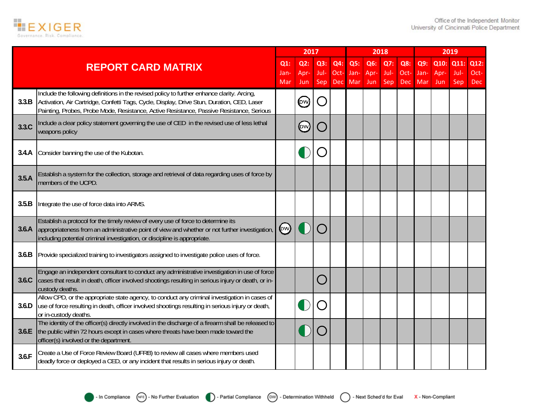

|       |                                                                                                                                                                                                                                                                                       |                 | 2017                             |             |             |             | 2018        |             |             |             |              | 2019         |              |
|-------|---------------------------------------------------------------------------------------------------------------------------------------------------------------------------------------------------------------------------------------------------------------------------------------|-----------------|----------------------------------|-------------|-------------|-------------|-------------|-------------|-------------|-------------|--------------|--------------|--------------|
|       | <b>REPORT CARD MATRIX</b>                                                                                                                                                                                                                                                             | $Q1$ :<br>Jan-  | Q2:<br>Apr-                      | Q3:<br>Jul- | Q4:<br>Oct- | Q5:<br>Jan- | Q6:<br>Apr- | Q7:<br>Jul- | Q8:<br>Oct- | Q9:<br>Jan- | Q10:<br>Apr- | Q11:<br>Jul- | Q12:<br>Oct- |
|       |                                                                                                                                                                                                                                                                                       | Mar             | Jun.                             | <b>Sep</b>  | Dec         | Mar         | Jun         | Sep         | Dec         | Mar         | Jun          | Sep          | <b>Dec</b>   |
| 3.3.B | Include the following definitions in the revised policy to further enhance clarity. Arcing,<br>Activation, Air Cartridge, Confetti Tags, Cycle, Display, Drive Stun, Duration, CED, Laser<br>Painting, Probes, Probe Mode, Resistance, Active Resistance, Passive Resistance, Serious |                 | (pw)                             |             |             |             |             |             |             |             |              |              |              |
| 3.3.C | Include a clear policy statement governing the use of CED in the revised use of less lethal<br>weapons policy                                                                                                                                                                         |                 | $_{\tiny\textcircled{\tiny{W}}}$ |             |             |             |             |             |             |             |              |              |              |
| 3.4.A | Consider banning the use of the Kubotan.                                                                                                                                                                                                                                              |                 |                                  |             |             |             |             |             |             |             |              |              |              |
| 3.5.A | Establish a system for the collection, storage and retrieval of data regarding uses of force by<br>members of the UCPD.                                                                                                                                                               |                 |                                  |             |             |             |             |             |             |             |              |              |              |
| 3.5.B | Integrate the use of force data into ARMS.                                                                                                                                                                                                                                            |                 |                                  |             |             |             |             |             |             |             |              |              |              |
| 3.6.A | Establish a protocol for the timely review of every use of force to determine its<br>appropriateness from an administrative point of view and whether or not further investigation,<br>including potential criminal investigation, or discipline is appropriate.                      | $(\mathsf{pw})$ |                                  |             |             |             |             |             |             |             |              |              |              |
| 3.6.B | Provide specialized training to investigators assigned to investigate police uses of force.                                                                                                                                                                                           |                 |                                  |             |             |             |             |             |             |             |              |              |              |
| 3.6.C | Engage an independent consultant to conduct any administrative investigation in use of force<br>cases that result in death, officer involved shootings resulting in serious injury or death, or in-<br>custody deaths.                                                                |                 |                                  |             |             |             |             |             |             |             |              |              |              |
| 3.6.D | Allow CPD, or the appropriate state agency, to conduct any criminal investigation in cases of<br>use of force resulting in death, officer involved shootings resulting in serious injury or death,<br>or in-custody deaths.                                                           |                 |                                  |             |             |             |             |             |             |             |              |              |              |
| 3.6.E | The identity of the officer(s) directly involved in the discharge of a firearm shall be released to<br>the public within 72 hours except in cases where threats have been made toward the<br>officer(s) involved or the department.                                                   |                 |                                  |             |             |             |             |             |             |             |              |              |              |
| 3.6.F | Create a Use of Force Review Board (UFRB) to review all cases where members used<br>deadly force or deployed a CED, or any incident that results in serious injury or death.                                                                                                          |                 |                                  |             |             |             |             |             |             |             |              |              |              |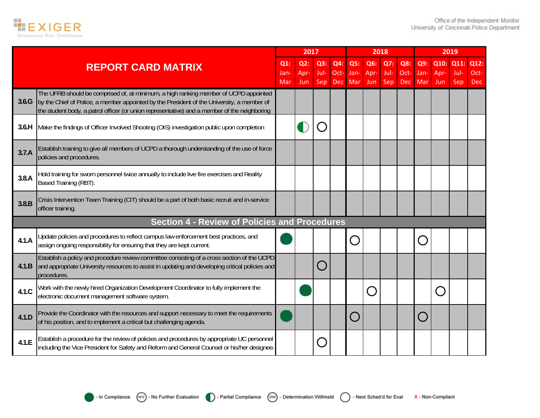

|       |                                                                                                                                                                                                                                                                                    |                   | 2017                  |                    |                    |                    |                    | 2018               |                           |                    |                     | 2019                |                            |
|-------|------------------------------------------------------------------------------------------------------------------------------------------------------------------------------------------------------------------------------------------------------------------------------------|-------------------|-----------------------|--------------------|--------------------|--------------------|--------------------|--------------------|---------------------------|--------------------|---------------------|---------------------|----------------------------|
|       | <b>REPORT CARD MATRIX</b>                                                                                                                                                                                                                                                          | Q1<br>Jan-<br>Mar | $Q2$ :<br>Apr-<br>Jun | Q3:<br>Jul-<br>Sep | Q4:<br>Oct-<br>Dec | Q5:<br>Jan-<br>Mar | Q6:<br>Apr-<br>Jun | Q7:<br>Jul-<br>Sep | Q8:<br>Oct-<br><b>Dec</b> | Q9:<br>Jan-<br>Mar | Q10:<br>Apr-<br>Jun | Q11:<br>Jul-<br>Sep | Q12:<br>Oct-<br><b>Dec</b> |
| 3.6.G | The UFRB should be comprised of, at minimum, a high ranking member of UCPD appointed<br>by the Chief of Police, a member appointed by the President of the University, a member of<br>the student body, a patrol officer (or union representative) and a member of the neighboring |                   |                       |                    |                    |                    |                    |                    |                           |                    |                     |                     |                            |
| 3.6.H | Make the findings of Officer Involved Shooting (OIS) investigation public upon completion                                                                                                                                                                                          |                   |                       |                    |                    |                    |                    |                    |                           |                    |                     |                     |                            |
| 3.7.A | Establish training to give all members of UCPD a thorough understanding of the use of force<br>policies and procedures.                                                                                                                                                            |                   |                       |                    |                    |                    |                    |                    |                           |                    |                     |                     |                            |
| 3.8.A | Hold training for sworn personnel twice annually to include live fire exercises and Reality<br>Based Training (RBT).                                                                                                                                                               |                   |                       |                    |                    |                    |                    |                    |                           |                    |                     |                     |                            |
| 3.8.B | Crisis Intervention Team Training (CIT) should be a part of both basic recruit and in-service<br>officer training.                                                                                                                                                                 |                   |                       |                    |                    |                    |                    |                    |                           |                    |                     |                     |                            |
|       | <b>Section 4 - Review of Policies and Procedures</b>                                                                                                                                                                                                                               |                   |                       |                    |                    |                    |                    |                    |                           |                    |                     |                     |                            |
| 4.1.A | Update policies and procedures to reflect campus law enforcement best practices, and<br>assign ongoing responsibility for ensuring that they are kept current.                                                                                                                     |                   |                       |                    |                    | $\bigcap$          |                    |                    |                           |                    |                     |                     |                            |
| 4.1.B | Establish a policy and procedure review committee consisting of a cross section of the UCPD<br>and appropriate University resources to assist in updating and developing critical policies and<br>procedures.                                                                      |                   |                       |                    |                    |                    |                    |                    |                           |                    |                     |                     |                            |
| 4.1.C | Work with the newly hired Organization Development Coordinator to fully implement the<br>electronic document management software system.                                                                                                                                           |                   |                       |                    |                    |                    |                    |                    |                           |                    | n a                 |                     |                            |
| 4.1.D | Provide the Coordinator with the resources and support necessary to meet the requirements<br>of his position, and to implement a critical but challenging agenda.                                                                                                                  |                   |                       |                    |                    | $\bigcap$          |                    |                    |                           |                    |                     |                     |                            |
| 4.1.E | Establish a procedure for the review of policies and procedures by appropriate UC personnel<br>including the Vice President for Safety and Reform and General Counsel or his/her designee.                                                                                         |                   |                       |                    |                    |                    |                    |                    |                           |                    |                     |                     |                            |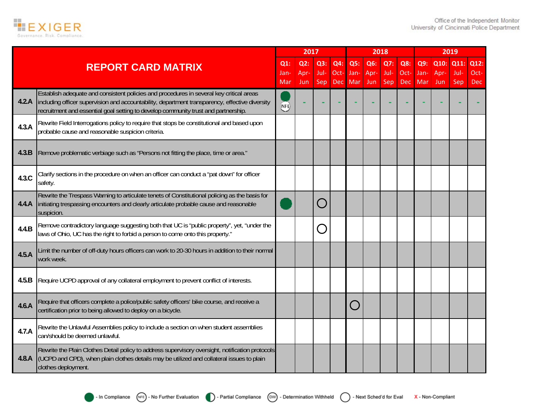

|       |                                                                                                                                                                                                                                                                                 |            | 2017 |        |            |           | 2018 |      |            |      |      | 2019 |      |
|-------|---------------------------------------------------------------------------------------------------------------------------------------------------------------------------------------------------------------------------------------------------------------------------------|------------|------|--------|------------|-----------|------|------|------------|------|------|------|------|
|       | <b>REPORT CARD MATRIX</b>                                                                                                                                                                                                                                                       | $Q1$ :     | Q2:  | Q3:    | Q4:        | Q5:       | Q6:  | Q7:  | Q8:        | Q9:  | Q10: | Q11: | Q12: |
|       |                                                                                                                                                                                                                                                                                 | Jan-       | Apr- | Jul-   | Oct-       | Jan-      | Apr- | Jul- | Oct-       | Jan- | Apr- | Jul- | Oct- |
|       |                                                                                                                                                                                                                                                                                 | Mar        | Jun  | Sep    | <b>Dec</b> | Mar       | Jun  | Sep  | <b>Dec</b> | Mar  | Jun  | Sep  | Dec  |
| 4.2.A | Establish adequate and consistent policies and procedures in several key critical areas<br>including officer supervision and accountability, department transparency, effective diversity<br>recruitment and essential goal setting to develop community trust and partnership. | <b>NFE</b> |      |        |            |           |      |      |            |      |      |      |      |
| 4.3.A | Rewrite Field Interrogations policy to require that stops be constitutional and based upon<br>probable cause and reasonable suspicion criteria.                                                                                                                                 |            |      |        |            |           |      |      |            |      |      |      |      |
| 4.3.B | Remove problematic verbiage such as "Persons not fitting the place, time or area."                                                                                                                                                                                              |            |      |        |            |           |      |      |            |      |      |      |      |
| 4.3.C | Clarify sections in the procedure on when an officer can conduct a "pat down" for officer<br>safety.                                                                                                                                                                            |            |      |        |            |           |      |      |            |      |      |      |      |
| 4.4.A | Rewrite the Trespass Warning to articulate tenets of Constitutional policing as the basis for<br>initiating trespassing encounters and clearly articulate probable cause and reasonable<br>suspicion.                                                                           |            |      | $(\ )$ |            |           |      |      |            |      |      |      |      |
| 4.4.B | Remove contradictory language suggesting both that UC is "public property", yet, "under the<br>laws of Ohio, UC has the right to forbid a person to come onto this property."                                                                                                   |            |      |        |            |           |      |      |            |      |      |      |      |
| 4.5.A | Limit the number of off-duty hours officers can work to 20-30 hours in addition to their normal<br>work week.                                                                                                                                                                   |            |      |        |            |           |      |      |            |      |      |      |      |
| 4.5.B | Require UCPD approval of any collateral employment to prevent conflict of interests.                                                                                                                                                                                            |            |      |        |            |           |      |      |            |      |      |      |      |
| 4.6.A | Require that officers complete a police/public safety officers' bike course, and receive a<br>certification prior to being allowed to deploy on a bicycle.                                                                                                                      |            |      |        |            | $\bigcap$ |      |      |            |      |      |      |      |
| 4.7.A | Rewrite the Unlawful Assemblies policy to include a section on when student assemblies<br>can/should be deemed unlawful.                                                                                                                                                        |            |      |        |            |           |      |      |            |      |      |      |      |
| 4.8.A | Rewrite the Plain Clothes Detail policy to address supervisory oversight, notification protocols<br>(UCPD and CPD), when plain clothes details may be utilized and collateral issues to plain<br>clothes deployment.                                                            |            |      |        |            |           |      |      |            |      |      |      |      |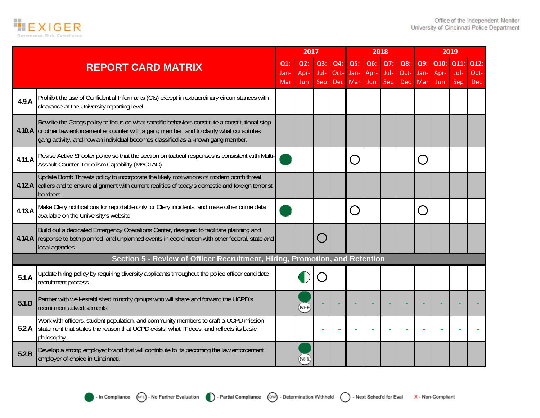

|        |                                                                                                                                                                                                                                                                                   |                       | 2017               |                    |                           |                    |                    | 2018               |                           |                    |                     | 2019                |                            |
|--------|-----------------------------------------------------------------------------------------------------------------------------------------------------------------------------------------------------------------------------------------------------------------------------------|-----------------------|--------------------|--------------------|---------------------------|--------------------|--------------------|--------------------|---------------------------|--------------------|---------------------|---------------------|----------------------------|
|        | <b>REPORT CARD MATRIX</b>                                                                                                                                                                                                                                                         | $Q1$ :<br>Jan-<br>Mar | Q2:<br>Apr-<br>Jun | Q3:<br>Jul-<br>Sep | Q4:<br>Oct-<br><b>Dec</b> | Q5:<br>Jan-<br>Mar | Q6:<br>Apr-<br>Jun | Q7:<br>Jul-<br>Sep | Q8:<br>Oct-<br><b>Dec</b> | Q9:<br>Jan-<br>Mar | Q10:<br>Apr-<br>Jun | Q11:<br>Jul-<br>Sep | Q12:<br>Oct-<br><b>Dec</b> |
| 4.9.A  | Prohibit the use of Confidential Informants (CIs) except in extraordinary circumstances with<br>clearance at the University reporting level.                                                                                                                                      |                       |                    |                    |                           |                    |                    |                    |                           |                    |                     |                     |                            |
|        | Rewrite the Gangs policy to focus on what specific behaviors constitute a constitutional stop<br>4.10.A or other law enforcement encounter with a gang member, and to clarify what constitutes<br>gang activity, and how an individual becomes classified as a known gang member. |                       |                    |                    |                           |                    |                    |                    |                           |                    |                     |                     |                            |
| 4.11.A | Revise Active Shooter policy so that the section on tactical responses is consistent with Multi<br>Assault Counter-Terrorism Capability (MACTAC)                                                                                                                                  |                       |                    |                    |                           | $\bigcap$          |                    |                    |                           |                    |                     |                     |                            |
|        | Update Bomb Threats policy to incorporate the likely motivations of modern bomb threat<br>4.12.A callers and to ensure alignment with current realities of today's domestic and foreign terrorist<br>bombers.                                                                     |                       |                    |                    |                           |                    |                    |                    |                           |                    |                     |                     |                            |
| 4.13.A | Make Clery notifications for reportable only for Clery incidents, and make other crime data<br>available on the University's website                                                                                                                                              |                       |                    |                    |                           | $\bigcap$          |                    |                    |                           |                    |                     |                     |                            |
|        | Build out a dedicated Emergency Operations Center, designed to facilitate planning and<br>4.14.A response to both planned and unplanned events in coordination with other federal, state and<br>local agencies.                                                                   |                       |                    |                    |                           |                    |                    |                    |                           |                    |                     |                     |                            |
|        | Section 5 - Review of Officer Recruitment, Hiring, Promotion, and Retention                                                                                                                                                                                                       |                       |                    |                    |                           |                    |                    |                    |                           |                    |                     |                     |                            |
| 5.1.A  | Update hiring policy by requiring diversity applicants throughout the police officer candidate<br>recruitment process.                                                                                                                                                            |                       |                    |                    |                           |                    |                    |                    |                           |                    |                     |                     |                            |
| 5.1.B  | Partner with well-established minority groups who will share and forward the UCPD's<br>recruitment advertisements.                                                                                                                                                                |                       | (NFE)              |                    |                           |                    |                    |                    |                           |                    |                     |                     |                            |
| 5.2.A  | Work with officers, student population, and community members to craft a UCPD mission<br>statement that states the reason that UCPD exists, what IT does, and reflects its basic<br>philosophy.                                                                                   |                       |                    |                    |                           |                    |                    |                    |                           |                    |                     |                     |                            |
| 5.2.B  | Develop a strong employer brand that will contribute to its becoming the law enforcement<br>employer of choice in Cincinnati.                                                                                                                                                     |                       | NFE                |                    |                           |                    |                    |                    |                           |                    |                     |                     |                            |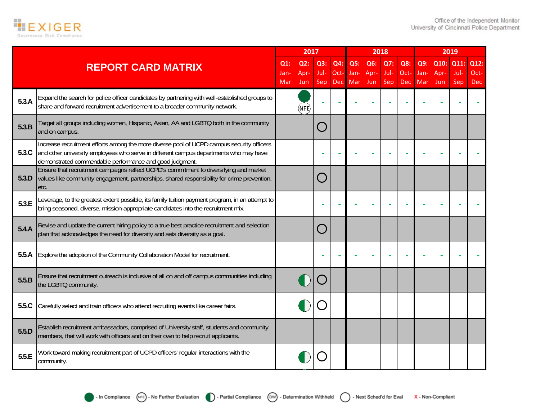

|       |                                                                                                                                                                                                                                               |            | 2017        |             |             |             |             | 2018               |             |             |             | 2019        |               |
|-------|-----------------------------------------------------------------------------------------------------------------------------------------------------------------------------------------------------------------------------------------------|------------|-------------|-------------|-------------|-------------|-------------|--------------------|-------------|-------------|-------------|-------------|---------------|
|       | <b>REPORT CARD MATRIX</b>                                                                                                                                                                                                                     | $Q1$ :     | Q2:         | Q3:         | Q4:         | Q5:         | Q6:         | Q7:                | Q8:         | Q9:         | Q10:        | Q11         | Q12:          |
|       |                                                                                                                                                                                                                                               | Jan<br>Mar | Apr-<br>Jun | Jul-<br>Sep | Oct-<br>Dec | Jan-<br>Mar | Apr-<br>Jun | Jul-<br><b>Sep</b> | Oct-<br>Dec | Jan-<br>Mar | Apr-<br>Jun | Jul-<br>Sep | $Oct-$<br>Dec |
| 5.3.A | Expand the search for police officer candidates by partnering with well-established groups to<br>share and forward recruitment advertisement to a broader community network.                                                                  |            | (NFE)       |             |             |             |             |                    |             |             |             |             |               |
| 5.3.B | Target all groups including women, Hispanic, Asian, AA and LGBTQ both in the community<br>and on campus.                                                                                                                                      |            |             |             |             |             |             |                    |             |             |             |             |               |
| 5.3C  | Increase recruitment efforts among the more diverse pool of UCPD campus security officers<br>and other university employees who serve in different campus departments who may have<br>demonstrated commendable performance and good judgment. |            |             |             |             |             |             |                    |             |             |             |             |               |
| 5.3.D | Ensure that recruitment campaigns reflect UCPD's commitment to diversifying and market<br>values like community engagement, partnerships, shared responsibility for crime prevention,<br>etc.                                                 |            |             |             |             |             |             |                    |             |             |             |             |               |
| 5.3.E | Leverage, to the greatest extent possible, its family tuition payment program, in an attempt to<br>bring seasoned, diverse, mission-appropriate candidates into the recruitment mix.                                                          |            |             |             |             |             |             |                    |             |             |             |             |               |
| 5.4.A | Revise and update the current hiring policy to a true best practice recruitment and selection<br>plan that acknowledges the need for diversity and sets diversity as a goal.                                                                  |            |             |             |             |             |             |                    |             |             |             |             |               |
| 5.5.A | Explore the adoption of the Community Collaboration Model for recruitment.                                                                                                                                                                    |            |             |             |             |             |             |                    |             |             |             |             |               |
| 5.5.B | Ensure that recruitment outreach is inclusive of all on and off campus communities including<br>the LGBTQ community.                                                                                                                          |            |             |             |             |             |             |                    |             |             |             |             |               |
| 5.5.C | Carefully select and train officers who attend recruiting events like career fairs.                                                                                                                                                           |            |             |             |             |             |             |                    |             |             |             |             |               |
| 5.5.D | Establish recruitment ambassadors, comprised of University staff, students and community<br>members, that will work with officers and on their own to help recruit applicants.                                                                |            |             |             |             |             |             |                    |             |             |             |             |               |
| 5.5.E | Work toward making recruitment part of UCPD officers' regular interactions with the<br>community.                                                                                                                                             |            |             |             |             |             |             |                    |             |             |             |             |               |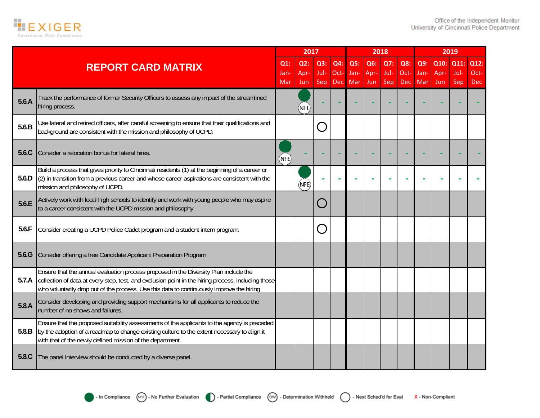

|       |                                                                                                                                                                                                                                                                                         |                       | 2017               |                    |                    |                    | 2018               |                    |                           |                    |                     | 2019                |                            |
|-------|-----------------------------------------------------------------------------------------------------------------------------------------------------------------------------------------------------------------------------------------------------------------------------------------|-----------------------|--------------------|--------------------|--------------------|--------------------|--------------------|--------------------|---------------------------|--------------------|---------------------|---------------------|----------------------------|
|       | <b>REPORT CARD MATRIX</b>                                                                                                                                                                                                                                                               | $Q1$ :<br>Jan-<br>Mar | Q2:<br>Apr-<br>Jun | Q3:<br>Jul-<br>Sep | Q4:<br>Oct-<br>Dec | Q5:<br>Jan-<br>Mar | Q6:<br>Apr-<br>Jun | Q7:<br>Jul-<br>Sep | Q8:<br>Oct-<br><b>Dec</b> | Q9:<br>Jan-<br>Mar | Q10:<br>Apr-<br>Jun | Q11:<br>Jul-<br>Sep | Q12:<br>Oct-<br><b>Dec</b> |
| 5.6.A | Track the performance of former Security Officers to assess any impact of the streamlined<br>hiring process.                                                                                                                                                                            |                       | (NFE)              |                    |                    |                    |                    |                    |                           |                    |                     |                     |                            |
| 5.6.B | Use lateral and retired officers, after careful screening to ensure that their qualifications and<br>background are consistent with the mission and philosophy of UCPD.                                                                                                                 |                       |                    |                    |                    |                    |                    |                    |                           |                    |                     |                     |                            |
| 5.6.C | Consider a relocation bonus for lateral hires.                                                                                                                                                                                                                                          | (NFE)                 |                    |                    |                    |                    |                    |                    |                           |                    |                     |                     |                            |
| 5.6.D | Build a process that gives priority to Cincinnati residents (1) at the beginning of a career or<br>(2) in transition from a previous career and whose career aspirations are consistent with the<br>mission and philosophy of UCPD.                                                     |                       | (NFE)              |                    |                    |                    |                    |                    |                           |                    |                     |                     |                            |
| 5.6.E | Actively work with local high schools to identify and work with young people who may aspire<br>to a career consistent with the UCPD mission and philosophy.                                                                                                                             |                       |                    |                    |                    |                    |                    |                    |                           |                    |                     |                     |                            |
| 5.6.F | Consider creating a UCPD Police Cadet program and a student intern program.                                                                                                                                                                                                             |                       |                    |                    |                    |                    |                    |                    |                           |                    |                     |                     |                            |
| 5.6.G | Consider offering a free Candidate Applicant Preparation Program                                                                                                                                                                                                                        |                       |                    |                    |                    |                    |                    |                    |                           |                    |                     |                     |                            |
| 5.7.A | Ensure that the annual evaluation process proposed in the Diversity Plan include the<br>collection of data at every step, test, and exclusion point in the hiring process, including those<br>who voluntarily drop out of the process. Use this data to continuously improve the hiring |                       |                    |                    |                    |                    |                    |                    |                           |                    |                     |                     |                            |
| 5.8.A | Consider developing and providing support mechanisms for all applicants to reduce the<br>number of no shows and failures.                                                                                                                                                               |                       |                    |                    |                    |                    |                    |                    |                           |                    |                     |                     |                            |
| 5.8.B | Ensure that the proposed suitability assessments of the applicants to the agency is preceded<br>by the adoption of a roadmap to change existing culture to the extent necessary to align it<br>with that of the newly defined mission of the department.                                |                       |                    |                    |                    |                    |                    |                    |                           |                    |                     |                     |                            |
| 5.8.C | The panel interview should be conducted by a diverse panel.                                                                                                                                                                                                                             |                       |                    |                    |                    |                    |                    |                    |                           |                    |                     |                     |                            |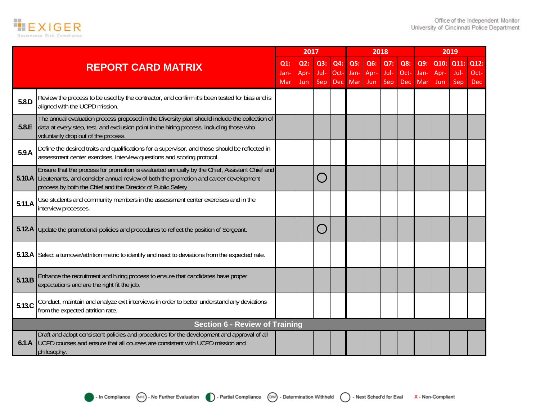

|        |                                                                                                                                                                                                                                                             |                   | 2017               |                    |                    |                    |                    | 2018               |                      |                    |                     | 2019                |                            |
|--------|-------------------------------------------------------------------------------------------------------------------------------------------------------------------------------------------------------------------------------------------------------------|-------------------|--------------------|--------------------|--------------------|--------------------|--------------------|--------------------|----------------------|--------------------|---------------------|---------------------|----------------------------|
|        | <b>REPORT CARD MATRIX</b>                                                                                                                                                                                                                                   | Q1<br>Jan-<br>Mar | Q2:<br>Apr-<br>Jun | Q3:<br>Jul-<br>Sep | Q4:<br>Oct-<br>Dec | Q5:<br>Jan-<br>Mar | Q6:<br>Apr-<br>Jun | Q7:<br>Jul-<br>Sep | Q8:<br>$Oct-$<br>Dec | Q9:<br>Jan-<br>Mar | Q10:<br>Apr-<br>Jun | Q11:<br>Jul-<br>Sep | Q12:<br>Oct-<br><b>Dec</b> |
| 5.8.D  | Review the process to be used by the contractor, and confirm it's been tested for bias and is<br>aligned with the UCPD mission.                                                                                                                             |                   |                    |                    |                    |                    |                    |                    |                      |                    |                     |                     |                            |
| 5.8.E  | The annual evaluation process proposed in the Diversity plan should include the collection of<br>data at every step, test, and exclusion point in the hiring process, including those who<br>voluntarily drop out of the process.                           |                   |                    |                    |                    |                    |                    |                    |                      |                    |                     |                     |                            |
| 5.9.A  | Define the desired traits and qualifications for a supervisor, and those should be reflected in<br>assessment center exercises, interview questions and scoring protocol.                                                                                   |                   |                    |                    |                    |                    |                    |                    |                      |                    |                     |                     |                            |
|        | Ensure that the process for promotion is evaluated annually by the Chief, Assistant Chief and<br>5.10.A Lieutenants, and consider annual review of both the promotion and career development<br>process by both the Chief and the Director of Public Safety |                   |                    |                    |                    |                    |                    |                    |                      |                    |                     |                     |                            |
| 5.11.A | Use students and community members in the assessment center exercises and in the<br>interview processes.                                                                                                                                                    |                   |                    |                    |                    |                    |                    |                    |                      |                    |                     |                     |                            |
| 5.12.A | Update the promotional policies and procedures to reflect the position of Sergeant.                                                                                                                                                                         |                   |                    |                    |                    |                    |                    |                    |                      |                    |                     |                     |                            |
| 5.13.A | Select a turnover/attrition metric to identify and react to deviations from the expected rate.                                                                                                                                                              |                   |                    |                    |                    |                    |                    |                    |                      |                    |                     |                     |                            |
| 5.13.B | Enhance the recruitment and hiring process to ensure that candidates have proper<br>expectations and are the right fit the job.                                                                                                                             |                   |                    |                    |                    |                    |                    |                    |                      |                    |                     |                     |                            |
| 5.13.C | Conduct, maintain and analyze exit interviews in order to better understand any deviations<br>from the expected attrition rate.                                                                                                                             |                   |                    |                    |                    |                    |                    |                    |                      |                    |                     |                     |                            |
|        | <b>Section 6 - Review of Training</b>                                                                                                                                                                                                                       |                   |                    |                    |                    |                    |                    |                    |                      |                    |                     |                     |                            |
| 6.1.A  | Draft and adopt consistent policies and procedures for the development and approval of all<br>UCPD courses and ensure that all courses are consistent with UCPD mission and<br>philosophy.                                                                  |                   |                    |                    |                    |                    |                    |                    |                      |                    |                     |                     |                            |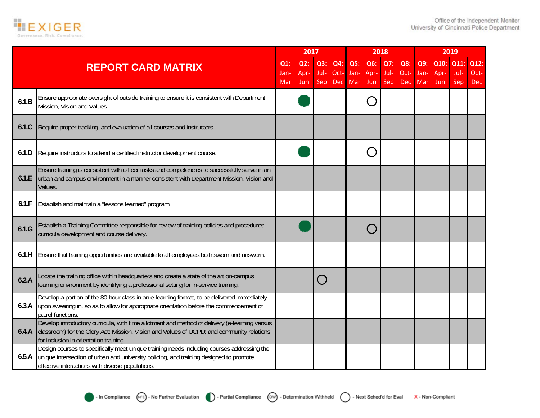

|       |                                                                                                                                                                                                                                          |                       | 2017                  |                    |                           |                    |                    | 2018               |             |                        |             | 2019                     |                     |
|-------|------------------------------------------------------------------------------------------------------------------------------------------------------------------------------------------------------------------------------------------|-----------------------|-----------------------|--------------------|---------------------------|--------------------|--------------------|--------------------|-------------|------------------------|-------------|--------------------------|---------------------|
|       | <b>REPORT CARD MATRIX</b>                                                                                                                                                                                                                | $Q1$ :<br>Jan-<br>Mar | $Q2$ :<br>Apr-<br>Jun | Q3:<br>Jul-<br>Sep | Q4:<br>Oct-<br><b>Dec</b> | Q5:<br>Jan-<br>Mar | Q6:<br>Apr-<br>Jun | Q7:<br>Jul-<br>Sep | Q8:<br>Oct- | Q9:<br>Jan-<br>Dec Mar | Apr-<br>Jun | Q10: Q11:<br>Jul-<br>Sep | Q12:<br>Oct-<br>Dec |
| 6.1.B | Ensure appropriate oversight of outside training to ensure it is consistent with Department<br>Mission, Vision and Values.                                                                                                               |                       |                       |                    |                           |                    |                    |                    |             |                        |             |                          |                     |
| 6.1.C | Require proper tracking, and evaluation of all courses and instructors.                                                                                                                                                                  |                       |                       |                    |                           |                    |                    |                    |             |                        |             |                          |                     |
| 6.1.D | Require instructors to attend a certified instructor development course.                                                                                                                                                                 |                       |                       |                    |                           |                    |                    |                    |             |                        |             |                          |                     |
| 6.1.E | Ensure training is consistent with officer tasks and competencies to successfully serve in an<br>urban and campus environment in a manner consistent with Department Mission, Vision and<br>Values                                       |                       |                       |                    |                           |                    |                    |                    |             |                        |             |                          |                     |
| 6.1.F | Establish and maintain a "lessons learned" program.                                                                                                                                                                                      |                       |                       |                    |                           |                    |                    |                    |             |                        |             |                          |                     |
| 6.1.G | Establish a Training Committee responsible for review of training policies and procedures,<br>curricula development and course delivery.                                                                                                 |                       |                       |                    |                           |                    |                    |                    |             |                        |             |                          |                     |
| 6.1.H | Ensure that training opportunities are available to all employees both sworn and unsworn.                                                                                                                                                |                       |                       |                    |                           |                    |                    |                    |             |                        |             |                          |                     |
| 6.2.A | Locate the training office within headquarters and create a state of the art on-campus<br>learning environment by identifying a professional setting for in-service training.                                                            |                       |                       |                    |                           |                    |                    |                    |             |                        |             |                          |                     |
| 6.3.A | Develop a portion of the 80-hour class in an e-learning format, to be delivered immediately<br>upon swearing in, so as to allow for appropriate orientation before the commencement of<br>patrol functions.                              |                       |                       |                    |                           |                    |                    |                    |             |                        |             |                          |                     |
| 6.4.A | Develop introductory curricula, with time allotment and method of delivery (e-learning versus<br>classroom) for the Clery Act; Mission, Vision and Values of UCPD; and community relations<br>for inclusion in orientation training      |                       |                       |                    |                           |                    |                    |                    |             |                        |             |                          |                     |
| 6.5.A | Design courses to specifically meet unique training needs including courses addressing the<br>unique intersection of urban and university policing, and training designed to promote<br>effective interactions with diverse populations. |                       |                       |                    |                           |                    |                    |                    |             |                        |             |                          |                     |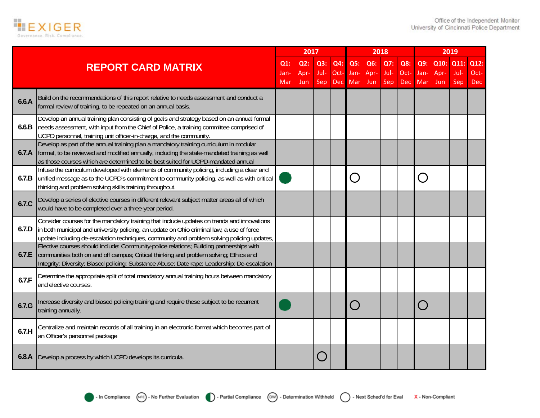

|       |                                                                                                                                                                                                                                                                                       |             | 2017        |             |                    |             | 2018        |             |             |                   |             | 2019        |                    |
|-------|---------------------------------------------------------------------------------------------------------------------------------------------------------------------------------------------------------------------------------------------------------------------------------------|-------------|-------------|-------------|--------------------|-------------|-------------|-------------|-------------|-------------------|-------------|-------------|--------------------|
|       | <b>REPORT CARD MATRIX</b>                                                                                                                                                                                                                                                             | $Q1$ :      | Q2:         | Q3:         | Q4:                | Q5:         | Q6:         | Q7:         | Q8:         | Q9:               | Q10:        | Q11:        | Q12:               |
|       |                                                                                                                                                                                                                                                                                       | Jan-<br>Mar | Apr-<br>Jun | Jul-<br>Sep | Oct-<br><b>Dec</b> | Jan-<br>Mar | Apr-<br>Jun | Jul-<br>Sep | Oct-<br>Dec | Jan-<br>Mar       | Apr-<br>Jun | Jul-<br>Sep | Oct-<br><b>Dec</b> |
| 6.6.A | Build on the recommendations of this report relative to needs assessment and conduct a<br>formal review of training, to be repeated on an annual basis.                                                                                                                               |             |             |             |                    |             |             |             |             |                   |             |             |                    |
| 6.6.B | Develop an annual training plan consisting of goals and strategy based on an annual formal<br>needs assessment, with input from the Chief of Police, a training committee comprised of<br>UCPD personnel, training unit officer-in-charge, and the community.                         |             |             |             |                    |             |             |             |             |                   |             |             |                    |
| 6.7.A | Develop as part of the annual training plan a mandatory training curriculum in modular<br>format, to be reviewed and modified annually, including the state-mandated training as well<br>as those courses which are determined to be best suited for UCPD-mandated annual             |             |             |             |                    |             |             |             |             |                   |             |             |                    |
| 6.7.B | Infuse the curriculum developed with elements of community policing, including a clear and<br>unified message as to the UCPD's commitment to community policing, as well as with critical<br>thinking and problem solving skills training throughout.                                 |             |             |             |                    | $\bigcap$   |             |             |             | $\overline{(\ )}$ |             |             |                    |
| 6.7.C | Develop a series of elective courses in different relevant subject matter areas all of which<br>would have to be completed over a three-year period.                                                                                                                                  |             |             |             |                    |             |             |             |             |                   |             |             |                    |
| 6.7.D | Consider courses for the mandatory training that include updates on trends and innovations<br>in both municipal and university policing, an update on Ohio criminal law, a use of force<br>update including de-escalation techniques, community and problem solving policing updates, |             |             |             |                    |             |             |             |             |                   |             |             |                    |
| 6.7.E | Elective courses should include: Community-police relations; Building partnerships with<br>communities both on and off campus; Critical thinking and problem solving; Ethics and<br>Integrity; Diversity; Biased policing; Substance Abuse; Date rape; Leadership; De-escalation      |             |             |             |                    |             |             |             |             |                   |             |             |                    |
| 6.7.F | Determine the appropriate split of total mandatory annual training hours between mandatory<br>and elective courses.                                                                                                                                                                   |             |             |             |                    |             |             |             |             |                   |             |             |                    |
| 6.7.G | Increase diversity and biased policing training and require these subject to be recurrent<br>training annually.                                                                                                                                                                       |             |             |             |                    | $\bigcap$   |             |             |             |                   |             |             |                    |
| 6.7.H | Centralize and maintain records of all training in an electronic format which becomes part of<br>an Officer's personnel package                                                                                                                                                       |             |             |             |                    |             |             |             |             |                   |             |             |                    |
| 6.8.A | Develop a process by which UCPD develops its curricula.                                                                                                                                                                                                                               |             |             |             |                    |             |             |             |             |                   |             |             |                    |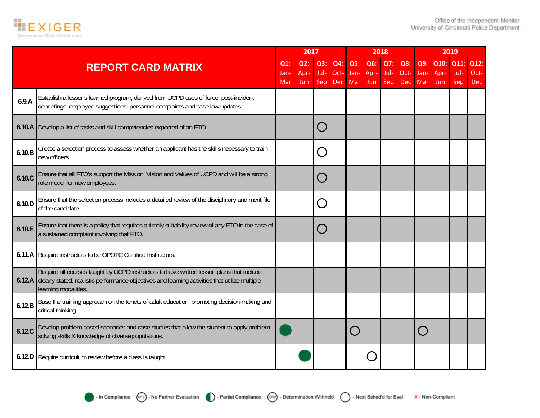

|        |                                                                                                                                                                                                                    |                       | 2017                  |                    |                           |                    | 2018               |                    |                    |                    |                     | 2019                |                            |
|--------|--------------------------------------------------------------------------------------------------------------------------------------------------------------------------------------------------------------------|-----------------------|-----------------------|--------------------|---------------------------|--------------------|--------------------|--------------------|--------------------|--------------------|---------------------|---------------------|----------------------------|
|        | <b>REPORT CARD MATRIX</b>                                                                                                                                                                                          | $Q1$ :<br>Jan-<br>Mar | $Q2$ :<br>Apr-<br>Jun | Q3:<br>Jul-<br>Sep | Q4:<br>Oct-<br><b>Dec</b> | Q5:<br>Jan-<br>Mar | Q6:<br>Apr-<br>Jun | Q7:<br>Jul-<br>Sep | Q8:<br>Oct-<br>Dec | Q9:<br>Jan-<br>Mar | Q10:<br>Apr-<br>Jun | Q11:<br>Jul-<br>Sep | Q12:<br>Oct-<br><b>Dec</b> |
| 6.9.A  | Establish a lessons learned program, derived from UCPD uses of force, post-incident<br>debriefings, employee suggestions, personnel complaints and case law updates.                                               |                       |                       |                    |                           |                    |                    |                    |                    |                    |                     |                     |                            |
|        | 6.10.A Develop a list of tasks and skill competencies expected of an FTO.                                                                                                                                          |                       |                       |                    |                           |                    |                    |                    |                    |                    |                     |                     |                            |
| 6.10.B | Create a selection process to assess whether an applicant has the skills necessary to train<br>new officers.                                                                                                       |                       |                       |                    |                           |                    |                    |                    |                    |                    |                     |                     |                            |
| 6.10.C | Ensure that all FTO's support the Mission, Vision and Values of UCPD and will be a strong<br>role model for new employees.                                                                                         |                       |                       |                    |                           |                    |                    |                    |                    |                    |                     |                     |                            |
| 6.10.D | Ensure that the selection process includes a detailed review of the disciplinary and merit file<br>of the candidate.                                                                                               |                       |                       |                    |                           |                    |                    |                    |                    |                    |                     |                     |                            |
| 6.10.E | Ensure that there is a policy that requires a timely suitability review of any FTO in the case of<br>a sustained complaint involving that FTO.                                                                     |                       |                       |                    |                           |                    |                    |                    |                    |                    |                     |                     |                            |
|        | 6.11.A Require instructors to be OPOTC Certified Instructors.                                                                                                                                                      |                       |                       |                    |                           |                    |                    |                    |                    |                    |                     |                     |                            |
| 6.12.A | Require all courses taught by UCPD instructors to have written lesson plans that include<br>clearly stated, realistic performance objectives and learning activities that utilize multiple<br>learning modalities. |                       |                       |                    |                           |                    |                    |                    |                    |                    |                     |                     |                            |
| 6.12.B | Base the training approach on the tenets of adult education, promoting decision-making and<br>critical thinking.                                                                                                   |                       |                       |                    |                           |                    |                    |                    |                    |                    |                     |                     |                            |
| 6.12.C | Develop problem-based scenarios and case studies that allow the student to apply problem<br>solving skills & knowledge of diverse populations.                                                                     |                       |                       |                    |                           | $\bigcap$          |                    |                    |                    |                    |                     |                     |                            |
|        | 6.12.D Require curriculum review before a class is taught.                                                                                                                                                         |                       |                       |                    |                           |                    |                    |                    |                    |                    |                     |                     |                            |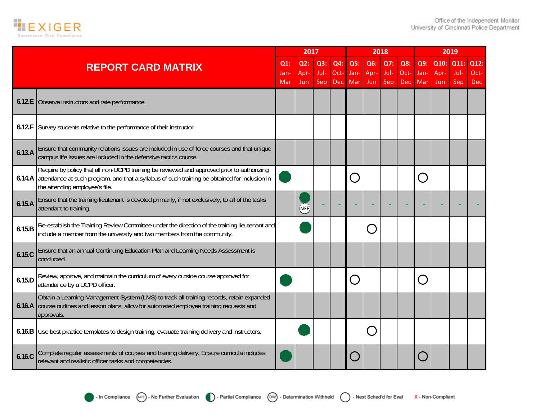

|        |                                                                                                                                                                                                                                      |                       | 2017                  |                    |                    |                    | 2018                                                                         |                    |                           |                                        |                      | 2019                |                            |
|--------|--------------------------------------------------------------------------------------------------------------------------------------------------------------------------------------------------------------------------------------|-----------------------|-----------------------|--------------------|--------------------|--------------------|------------------------------------------------------------------------------|--------------------|---------------------------|----------------------------------------|----------------------|---------------------|----------------------------|
|        | <b>REPORT CARD MATRIX</b>                                                                                                                                                                                                            | $Q1$ :<br>Jan-<br>Mar | $Q2$ :<br>Apr-<br>Jun | Q3:<br>Jul-<br>Sep | Q4:<br>Oct-<br>Dec | Q5:<br>Jan-<br>Mar | Q6:<br>Apr-<br>Jun                                                           | Q7:<br>Jul-<br>Sep | Q8:<br>Oct-<br><b>Dec</b> | Q9:<br>Jan-<br>Mar                     | Q10:<br>Apr-<br>Jun. | Q11:<br>Jul-<br>Sep | Q12:<br>Oct-<br><b>Dec</b> |
| 6.12.E | Observe instructors and rate performance.                                                                                                                                                                                            |                       |                       |                    |                    |                    |                                                                              |                    |                           |                                        |                      |                     |                            |
| 6.12.F | Survey students relative to the performance of their instructor.                                                                                                                                                                     |                       |                       |                    |                    |                    |                                                                              |                    |                           |                                        |                      |                     |                            |
| 6.13.A | Ensure that community relations issues are included in use of force courses and that unique<br>campus life issues are included in the defensive tactics course.                                                                      |                       |                       |                    |                    |                    |                                                                              |                    |                           |                                        |                      |                     |                            |
|        | Require by policy that all non-UCPD training be reviewed and approved prior to authorizing<br>6.14.A attendance at such program, and that a syllabus of such training be obtained for inclusion in<br>the attending employee's file. |                       |                       |                    |                    |                    |                                                                              |                    |                           | $\subset$                              |                      |                     |                            |
| 6.15.A | Ensure that the training lieutenant is devoted primarily, if not exclusively, to all of the tasks<br>attendant to training.                                                                                                          |                       | (NFE)                 |                    |                    |                    |                                                                              |                    |                           |                                        |                      |                     |                            |
| 6.15.B | Re-establish the Training Review Committee under the direction of the training lieutenant and<br>include a member from the university and two members from the community.                                                            |                       |                       |                    |                    |                    | $\overline{a}$                                                               |                    |                           |                                        |                      |                     |                            |
| 6.15.C | Ensure that an annual Continuing Education Plan and Learning Needs Assessment is<br>conducted.                                                                                                                                       |                       |                       |                    |                    |                    |                                                                              |                    |                           |                                        |                      |                     |                            |
| 6.15.D | Review, approve, and maintain the curriculum of every outside course approved for<br>attendance by a UCPD officer.                                                                                                                   |                       |                       |                    |                    | $\Box$             |                                                                              |                    |                           | $\begin{bmatrix} 1 \\ 1 \end{bmatrix}$ |                      |                     |                            |
|        | Obtain a Learning Management System (LMS) to track all training records, retain expanded<br>6.16.A course outlines and lesson plans, allow for automated employee training requests and<br>approvals.                                |                       |                       |                    |                    |                    |                                                                              |                    |                           |                                        |                      |                     |                            |
|        | 6.16.B Use best practice templates to design training, evaluate training delivery and instructors.                                                                                                                                   |                       |                       |                    |                    |                    | $\begin{array}{c} \begin{array}{c} \begin{array}{c} \end{array} \end{array}$ |                    |                           |                                        |                      |                     |                            |
| 6.16.C | Complete regular assessments of courses and training delivery. Ensure curricula includes<br>relevant and realistic officer tasks and competencies.                                                                                   |                       |                       |                    |                    |                    |                                                                              |                    |                           |                                        |                      |                     |                            |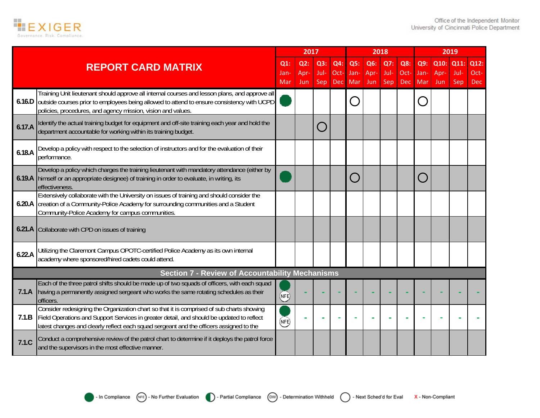

|        |                                                                                                                                                                                                                                                                                   |                   | 2017               |                    |                             |                                                   |                    | 2018               |                           |                    |                     | 2019                |                            |
|--------|-----------------------------------------------------------------------------------------------------------------------------------------------------------------------------------------------------------------------------------------------------------------------------------|-------------------|--------------------|--------------------|-----------------------------|---------------------------------------------------|--------------------|--------------------|---------------------------|--------------------|---------------------|---------------------|----------------------------|
|        | <b>REPORT CARD MATRIX</b>                                                                                                                                                                                                                                                         | Q1<br>Jan-<br>Mar | Q2:<br>Apr-<br>Jun | Q3:<br>Jul-<br>Sep | Q4:<br>$Oct-$<br><b>Dec</b> | Q5:<br>Jan-<br>Mar                                | Q6:<br>Apr-<br>Jun | Q7:<br>Jul-<br>Sep | Q8:<br>Oct-<br><b>Dec</b> | Q9:<br>Jan-<br>Mar | Q10:<br>Apr-<br>Jun | Q11:<br>Jul-<br>Sep | Q12:<br>Oct-<br><b>Dec</b> |
|        | Training Unit lieutenant should approve all internal courses and lesson plans, and approve all<br>6.16.D outside courses prior to employees being allowed to attend to ensure consistency with UCPD<br>policies, procedures, and agency mission, vision and values.               |                   |                    |                    |                             | $\left(\begin{array}{c} \ \ \ \end{array}\right)$ |                    |                    |                           |                    |                     |                     |                            |
| 6.17.A | Identify the actual training budget for equipment and off-site training each year and hold the<br>department accountable for working within its training budget.                                                                                                                  |                   |                    |                    |                             |                                                   |                    |                    |                           |                    |                     |                     |                            |
| 6.18.A | Develop a policy with respect to the selection of instructors and for the evaluation of their<br>performance.                                                                                                                                                                     |                   |                    |                    |                             |                                                   |                    |                    |                           |                    |                     |                     |                            |
|        | Develop a policy which charges the training lieutenant with mandatory attendance (either by<br>6.19.A himself or an appropriate designee) of training in order to evaluate, in writing, its<br>effectiveness.                                                                     |                   |                    |                    |                             | $(\ )$                                            |                    |                    |                           |                    |                     |                     |                            |
|        | Extensively collaborate with the University on issues of training and should consider the<br>6.20.A creation of a Community-Police Academy for surrounding communities and a Student<br>Community-Police Academy for campus communities.                                          |                   |                    |                    |                             |                                                   |                    |                    |                           |                    |                     |                     |                            |
|        | 6.21.A Collaborate with CPD on issues of training                                                                                                                                                                                                                                 |                   |                    |                    |                             |                                                   |                    |                    |                           |                    |                     |                     |                            |
| 6.22.A | Utilizing the Claremont Campus OPOTC-certified Police Academy as its own internal<br>academy where sponsored/hired cadets could attend.                                                                                                                                           |                   |                    |                    |                             |                                                   |                    |                    |                           |                    |                     |                     |                            |
|        | <b>Section 7 - Review of Accountability Mechanisms</b>                                                                                                                                                                                                                            |                   |                    |                    |                             |                                                   |                    |                    |                           |                    |                     |                     |                            |
|        | Each of the three patrol shifts should be made up of two squads of officers, with each squad<br>7.1.A having a permanently assigned sergeant who works the same rotating schedules as their<br>officers.                                                                          | (NFE)             |                    |                    |                             |                                                   |                    |                    |                           |                    |                     |                     |                            |
| 7.1.B  | Consider redesigning the Organization chart so that it is comprised of sub charts showing<br>Field Operations and Support Services in greater detail, and should be updated to reflect<br>latest changes and clearly reflect each squad sergeant and the officers assigned to the | (NFE)             |                    |                    |                             |                                                   |                    |                    |                           |                    |                     |                     |                            |
| 7.1C   | Conduct a comprehensive review of the patrol chart to determine if it deploys the patrol force<br>and the supervisors in the most effective manner.                                                                                                                               |                   |                    |                    |                             |                                                   |                    |                    |                           |                    |                     |                     |                            |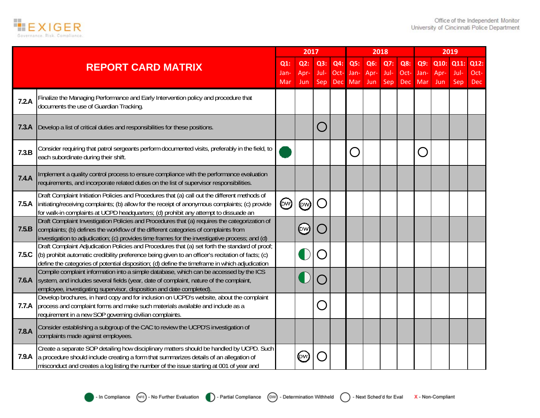

|       |                                                                                                                                                                                                                                                                                                        |                       | 2017               |                    |                           |                    |                    | 2018               |                    |                    |                     | 2019                |                     |
|-------|--------------------------------------------------------------------------------------------------------------------------------------------------------------------------------------------------------------------------------------------------------------------------------------------------------|-----------------------|--------------------|--------------------|---------------------------|--------------------|--------------------|--------------------|--------------------|--------------------|---------------------|---------------------|---------------------|
|       | <b>REPORT CARD MATRIX</b>                                                                                                                                                                                                                                                                              | $Q1$ :<br>Jan-<br>Mar | Q2:<br>Apr-<br>Jun | Q3:<br>Jul-<br>Sep | Q4:<br>Oct-<br><b>Dec</b> | Q5:<br>Jan-<br>Mar | Q6:<br>Apr-<br>Jun | Q7:<br>Jul-<br>Sep | Q8:<br>Oct-<br>Dec | Q9:<br>Jan-<br>Mar | Q10:<br>Apr-<br>Jun | Q11:<br>Jul-<br>Sep | Q12:<br>Oct-<br>Dec |
| 7.2.A | Finalize the Managing Performance and Early Intervention policy and procedure that<br>documents the use of Guardian Tracking.                                                                                                                                                                          |                       |                    |                    |                           |                    |                    |                    |                    |                    |                     |                     |                     |
| 7.3.A | Develop a list of critical duties and responsibilities for these positions.                                                                                                                                                                                                                            |                       |                    |                    |                           |                    |                    |                    |                    |                    |                     |                     |                     |
| 7.3.B | Consider requiring that patrol sergeants perform documented visits, preferably in the field, to<br>each subordinate during their shift.                                                                                                                                                                |                       |                    |                    |                           | $\bigcirc$         |                    |                    |                    | $(\cdot)$          |                     |                     |                     |
| 7.4.A | Implement a quality control process to ensure compliance with the performance evaluation<br>requirements, and incorporate related duties on the list of supervisor responsibilities.                                                                                                                   |                       |                    |                    |                           |                    |                    |                    |                    |                    |                     |                     |                     |
| 7.5.A | Draft Complaint Initiation Policies and Procedures that (a) call out the different methods of<br>initiating/receiving complaints; (b) allow for the receipt of anonymous complaints; (c) provide<br>for walk-in complaints at UCPD headquarters; (d) prohibit any attempt to dissuade an               | $(\infty)$            | (pw)               | $\blacksquare$     |                           |                    |                    |                    |                    |                    |                     |                     |                     |
| 7.5.B | Draft Complaint Investigation Policies and Procedures that (a) requires the categorization of<br>complaints; (b) defines the workflow of the different categories of complaints from<br>investigation to adjudication; (c) provides time frames for the investigative process; and (d)                 |                       | (bw)               |                    |                           |                    |                    |                    |                    |                    |                     |                     |                     |
| 7.5.C | Draft Complaint Adjudication Policies and Procedures that (a) set forth the standard of proof;<br>(b) prohibit automatic credibility preference being given to an officer's recitation of facts; (c)<br>define the categories of potential disposition; (d) define the timeframe in which adjudication |                       |                    |                    |                           |                    |                    |                    |                    |                    |                     |                     |                     |
| 7.6.A | Compile complaint information into a simple database, which can be accessed by the ICS<br>system, and includes several fields (year, date of complaint, nature of the complaint,<br>employee, investigating supervisor, disposition and date completed).                                               |                       |                    |                    |                           |                    |                    |                    |                    |                    |                     |                     |                     |
| 7.7.A | Develop brochures, in hard copy and for inclusion on UCPD's website, about the complaint<br>process and complaint forms and make such materials available and include as a<br>requirement in a new SOP governing civilian complaints.                                                                  |                       |                    |                    |                           |                    |                    |                    |                    |                    |                     |                     |                     |
| 7.8.A | Consider establishing a subgroup of the CAC to review the UCPD'S investigation of<br>complaints made against employees.                                                                                                                                                                                |                       |                    |                    |                           |                    |                    |                    |                    |                    |                     |                     |                     |
| 7.9.A | Create a separate SOP detailing how disciplinary matters should be handled by UCPD. Such<br>a procedure should include creating a form that summarizes details of an allegation of<br>misconduct and creates a log listing the number of the issue starting at 001 of year and                         |                       | (pw)               |                    |                           |                    |                    |                    |                    |                    |                     |                     |                     |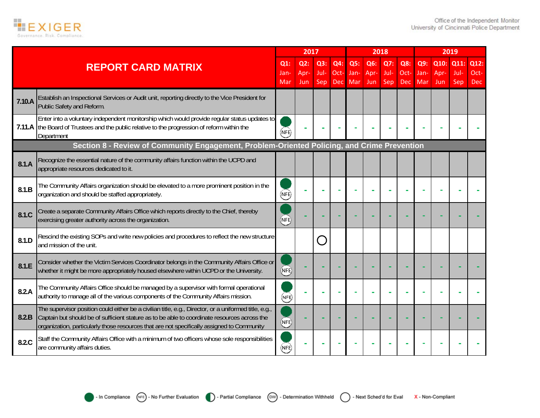

|        |                                                                                                                                                                                                                                                                                                     |                       | 2017                      |                    |                    |                           |                    | 2018               |                           |                    |                     | 2019                |                     |
|--------|-----------------------------------------------------------------------------------------------------------------------------------------------------------------------------------------------------------------------------------------------------------------------------------------------------|-----------------------|---------------------------|--------------------|--------------------|---------------------------|--------------------|--------------------|---------------------------|--------------------|---------------------|---------------------|---------------------|
|        | <b>REPORT CARD MATRIX</b>                                                                                                                                                                                                                                                                           | $Q1$ :<br>Jan-<br>Mar | Q2:<br>Apr-<br><b>Jun</b> | Q3:<br>Jul-<br>Sep | Q4:<br>Oct-<br>Dec | Q5:<br>Jan-<br><b>Mar</b> | Q6:<br>Apr-<br>Jun | Q7:<br>Jul-<br>Sep | Q8:<br>Oct-<br><b>Dec</b> | Q9:<br>Jan-<br>Mar | Q10:<br>Apr-<br>Jun | Q11:<br>Jul-<br>Sep | Q12:<br>Oct-<br>Dec |
| 7.10.A | Establish an Inspectional Services or Audit unit, reporting directly to the Vice President for<br>Public Safety and Reform.                                                                                                                                                                         |                       |                           |                    |                    |                           |                    |                    |                           |                    |                     |                     |                     |
|        | Enter into a voluntary independent monitorship which would provide regular status updates to<br>7.11.A the Board of Trustees and the public relative to the progression of reform within the<br>Department                                                                                          | NFE                   |                           |                    |                    |                           |                    |                    |                           |                    |                     |                     |                     |
|        | Section 8 - Review of Community Engagement, Problem-Oriented Policing, and Crime Prevention                                                                                                                                                                                                         |                       |                           |                    |                    |                           |                    |                    |                           |                    |                     |                     |                     |
| 8.1.A  | Recognize the essential nature of the community affairs function within the UCPD and<br>appropriate resources dedicated to it.                                                                                                                                                                      |                       |                           |                    |                    |                           |                    |                    |                           |                    |                     |                     |                     |
| 8.1.B  | The Community Affairs organization should be elevated to a more prominent position in the<br>organization and should be staffed appropriately.                                                                                                                                                      | (NFE)                 |                           |                    |                    |                           |                    |                    |                           |                    |                     |                     |                     |
| 8.1.C  | Create a separate Community Affairs Office which reports directly to the Chief, thereby<br>exercising greater authority across the organization.                                                                                                                                                    | (NE)                  |                           |                    |                    |                           |                    |                    |                           |                    |                     |                     |                     |
| 8.1.D  | Rescind the existing SOPs and write new policies and procedures to reflect the new structure<br>and mission of the unit.                                                                                                                                                                            |                       |                           |                    |                    |                           |                    |                    |                           |                    |                     |                     |                     |
| 8.1.E  | Consider whether the Victim Services Coordinator belongs in the Community Affairs Office or<br>whether it might be more appropriately housed elsewhere within UCPD or the University.                                                                                                               | NFE)                  |                           |                    |                    |                           |                    |                    |                           |                    |                     |                     |                     |
| 8.2.A  | The Community Affairs Office should be managed by a supervisor with formal operational<br>authority to manage all of the various components of the Community Affairs mission.                                                                                                                       | (NFE)                 |                           |                    |                    |                           |                    |                    |                           |                    |                     |                     |                     |
| 8.2.B  | The supervisor position could either be a civilian title, e.g., Director, or a uniformed title, e.g.,<br>Captain but should be of sufficient stature as to be able to coordinate resources across the<br>organization, particularly those resources that are not specifically assigned to Community | NFE)                  |                           |                    |                    |                           |                    |                    |                           |                    |                     |                     |                     |
| 8.2.C  | Staff the Community Affairs Office with a minimum of two officers whose sole responsibilities<br>are community affairs duties.                                                                                                                                                                      | (NFE)                 |                           |                    |                    |                           |                    |                    |                           |                    |                     |                     |                     |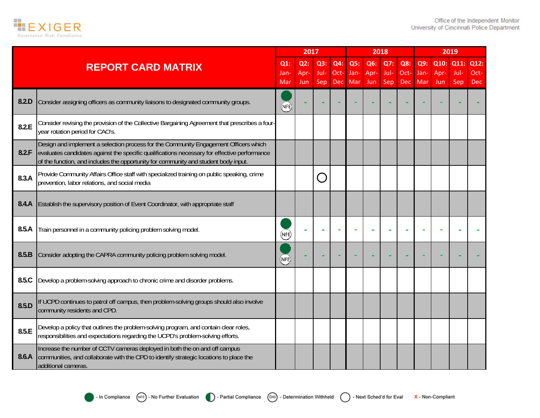

|       |                                                                                                                                                                                                                                                                             |            | 2017        |             |             |             |             | 2018        |             |             |             | 2019        |                    |
|-------|-----------------------------------------------------------------------------------------------------------------------------------------------------------------------------------------------------------------------------------------------------------------------------|------------|-------------|-------------|-------------|-------------|-------------|-------------|-------------|-------------|-------------|-------------|--------------------|
|       | <b>REPORT CARD MATRIX</b>                                                                                                                                                                                                                                                   | $Q1$ :     | Q2:         | Q3:         | Q4:         | Q5:         | Q6:         | Q7:         | Q8:         | Q9:         | Q10:        | Q11:        | Q12:               |
|       |                                                                                                                                                                                                                                                                             | Jan<br>Mar | Apr-<br>Jun | Jul-<br>Sep | Oct-<br>Dec | Jan-<br>Mar | Apr-<br>Jun | Jul-<br>Sep | Oct-<br>Dec | Jan-<br>Mar | Apr-<br>Jun | Jul-<br>Sep | Oct-<br><b>Dec</b> |
| 8.2.D | Consider assigning officers as community liaisons to designated community groups.                                                                                                                                                                                           | NFE        |             |             |             |             |             |             |             |             |             |             |                    |
| 8.2.E | Consider revising the provision of the Collective Bargaining Agreement that prescribes a four-<br>year rotation period for CAO's.                                                                                                                                           |            |             |             |             |             |             |             |             |             |             |             |                    |
| 8.2.F | Design and implement a selection process for the Community Engagement Officers which<br>evaluates candidates against the specific qualifications necessary for effective performance<br>of the function, and includes the opportunity for community and student body input. |            |             |             |             |             |             |             |             |             |             |             |                    |
| 8.3.A | Provide Community Affairs Office staff with specialized training on public speaking, crime<br>prevention, labor relations, and social media                                                                                                                                 |            |             |             |             |             |             |             |             |             |             |             |                    |
| 8.4.A | Establish the supervisory position of Event Coordinator, with appropriate staff                                                                                                                                                                                             |            |             |             |             |             |             |             |             |             |             |             |                    |
| 8.5.A | Train personnel in a community policing problem solving model.                                                                                                                                                                                                              | (NFE)      |             |             |             |             |             |             |             |             |             |             |                    |
| 8.5.B | Consider adopting the CAPRA community policing problem solving model.                                                                                                                                                                                                       | (NFE)      |             |             |             |             |             |             |             |             |             |             |                    |
| 8.5.C | Develop a problem-solving approach to chronic crime and disorder problems.                                                                                                                                                                                                  |            |             |             |             |             |             |             |             |             |             |             |                    |
| 8.5.D | If UCPD continues to patrol off campus, then problem-solving groups should also involve<br>community residents and CPD.                                                                                                                                                     |            |             |             |             |             |             |             |             |             |             |             |                    |
| 8.5.E | Develop a policy that outlines the problem-solving program, and contain clear roles,<br>responsibilities and expectations regarding the UCPD's problem-solving efforts.                                                                                                     |            |             |             |             |             |             |             |             |             |             |             |                    |
| 8.6.A | Increase the number of CCTV cameras deployed in both the on and off campus<br>communities, and collaborate with the CPD to identify strategic locations to place the<br>additional cameras.                                                                                 |            |             |             |             |             |             |             |             |             |             |             |                    |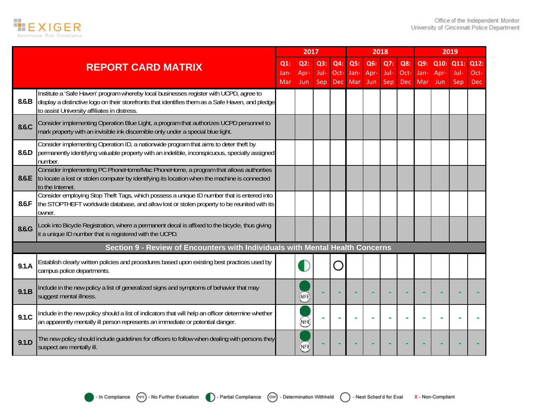

|       |                                                                                                                                                                                                                                            |                  | 2017               |                    |                           |                    |                    | 2018                      |                           |                    |                          | 2019        |                            |
|-------|--------------------------------------------------------------------------------------------------------------------------------------------------------------------------------------------------------------------------------------------|------------------|--------------------|--------------------|---------------------------|--------------------|--------------------|---------------------------|---------------------------|--------------------|--------------------------|-------------|----------------------------|
|       | <b>REPORT CARD MATRIX</b>                                                                                                                                                                                                                  | Q1<br>Jan<br>Mar | Q2:<br>Apr-<br>Jun | Q3:<br>Jul-<br>Sep | Q4:<br>Oct-<br><b>Dec</b> | Q5:<br>Jan-<br>Mar | Q6:<br>Apr-<br>Jun | Q7:<br>Jul-<br><b>Sep</b> | Q8:<br>Oct-<br><b>Dec</b> | Q9:<br>Jan-<br>Mar | Q10: Q11:<br>Apr-<br>Jun | Jul-<br>Sep | Q12:<br>Oct-<br><b>Dec</b> |
| 8.6.B | Institute a 'Safe Haven' program whereby local businesses register with UCPD, agree to<br>display a distinctive logo on their storefronts that identifies them as a Safe Haven, and pledge<br>to assist University affiliates in distress. |                  |                    |                    |                           |                    |                    |                           |                           |                    |                          |             |                            |
| 8.6.C | Consider implementing Operation Blue Light, a program that authorizes UCPD personnel to<br>mark property with an invisible ink discernible only under a special blue light.                                                                |                  |                    |                    |                           |                    |                    |                           |                           |                    |                          |             |                            |
| 8.6.D | Consider implementing Operation ID, a nationwide program that aims to deter theft by<br>permanently identifying valuable property with an indelible, inconspicuous, specially assigned<br>number.                                          |                  |                    |                    |                           |                    |                    |                           |                           |                    |                          |             |                            |
| 8.6.E | Consider implementing PC PhoneHome/Mac PhoneHome, a program that allows authorities<br>to locate a lost or stolen computer by identifying its location when the machine is connected<br>to the Internet.                                   |                  |                    |                    |                           |                    |                    |                           |                           |                    |                          |             |                            |
| 8.6.F | Consider employing Stop Theft Tags, which possess a unique ID number that is entered into<br>the STOPTHEFT worldwide database, and allow lost or stolen property to be reunited with its<br>owner.                                         |                  |                    |                    |                           |                    |                    |                           |                           |                    |                          |             |                            |
| 8.6.G | Look into Bicycle Registration, where a permanent decal is affixed to the bicycle, thus giving<br>it a unique ID number that is registered with the UCPD.                                                                                  |                  |                    |                    |                           |                    |                    |                           |                           |                    |                          |             |                            |
|       | Section 9 - Review of Encounters with Individuals with Mental Health Concerns                                                                                                                                                              |                  |                    |                    |                           |                    |                    |                           |                           |                    |                          |             |                            |
| 9.1.A | Establish clearly written policies and procedures based upon existing best practices used by<br>campus police departments.                                                                                                                 |                  |                    |                    |                           |                    |                    |                           |                           |                    |                          |             |                            |
| 9.1.B | Include in the new policy a list of generalized signs and symptoms of behavior that may<br>suggest mental illness.                                                                                                                         |                  | NFE)               |                    |                           |                    |                    |                           |                           |                    |                          |             |                            |
| 9.1C  | Include in the new policy should a list of indicators that will help an officer determine whether<br>an apparently mentally ill person represents an immediate or potential danger.                                                        |                  | (NFE)              |                    |                           |                    |                    |                           |                           |                    |                          |             |                            |
| 9.1.D | The new policy should include guidelines for officers to follow when dealing with persons they<br>suspect are mentally ill.                                                                                                                |                  | (NFE               |                    |                           |                    |                    |                           |                           |                    |                          |             |                            |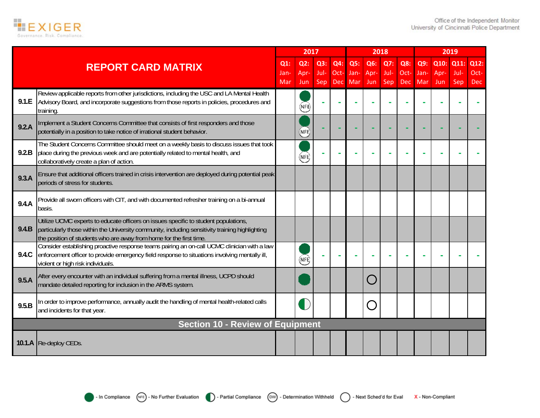

|       |                                                                                                                                                                                                                                                               |                    | 2017               |                    |                    |                    |                    | 2018               |                           |                    |                     | 2019                |                            |
|-------|---------------------------------------------------------------------------------------------------------------------------------------------------------------------------------------------------------------------------------------------------------------|--------------------|--------------------|--------------------|--------------------|--------------------|--------------------|--------------------|---------------------------|--------------------|---------------------|---------------------|----------------------------|
|       | <b>REPORT CARD MATRIX</b>                                                                                                                                                                                                                                     | Q1:<br>Jan-<br>Mar | Q2:<br>Apr-<br>Jun | Q3:<br>Jul-<br>Sep | Q4:<br>Oct-<br>Dec | Q5:<br>Jan-<br>Mar | Q6:<br>Apr-<br>Jun | Q7:<br>Jul-<br>Sep | Q8:<br>Oct-<br><b>Dec</b> | Q9:<br>Jan-<br>Mar | Q10:<br>Apr-<br>Jun | Q11:<br>Jul-<br>Sep | Q12:<br>Oct-<br><b>Dec</b> |
| 9.1.E | Review applicable reports from other jurisdictions, including the USC and LA Mental Health<br>Advisory Board, and incorporate suggestions from those reports in policies, procedures and<br>training                                                          |                    | (NFE)              |                    |                    |                    |                    |                    |                           |                    |                     |                     |                            |
| 9.2.A | Implement a Student Concerns Committee that consists of first responders and those<br>potentially in a position to take notice of irrational student behavior.                                                                                                |                    | (NFE)              |                    |                    |                    |                    |                    |                           |                    |                     |                     |                            |
| 9.2.B | The Student Concerns Committee should meet on a weekly basis to discuss issues that took<br>place during the previous week and are potentially related to mental health, and<br>collaboratively create a plan of action.                                      |                    | (NFE)              |                    |                    |                    |                    |                    |                           |                    |                     |                     |                            |
| 9.3.A | Ensure that additional officers trained in crisis intervention are deployed during potential peak<br>periods of stress for students.                                                                                                                          |                    |                    |                    |                    |                    |                    |                    |                           |                    |                     |                     |                            |
| 9.4.A | Provide all sworn officers with CIT, and with documented refresher training on a bi-annual<br>basis.                                                                                                                                                          |                    |                    |                    |                    |                    |                    |                    |                           |                    |                     |                     |                            |
| 9.4.B | Utilize UCMC experts to educate officers on issues specific to student populations,<br>particularly those within the University community, including sensitivity training highlighting<br>the position of students who are away from home for the first time. |                    |                    |                    |                    |                    |                    |                    |                           |                    |                     |                     |                            |
| 9.4.C | Consider establishing proactive response teams pairing an on-call UCMC clinician with a law<br>enforcement officer to provide emergency field response to situations involving mentally ill,<br>violent or high risk individuals.                             |                    | (NFE)              |                    |                    |                    |                    |                    |                           |                    |                     |                     |                            |
| 9.5.A | After every encounter with an individual suffering from a mental illness, UCPD should<br>mandate detailed reporting for inclusion in the ARMS system.                                                                                                         |                    |                    |                    |                    |                    |                    |                    |                           |                    |                     |                     |                            |
| 9.5.B | In order to improve performance, annually audit the handling of mental health-related calls<br>and incidents for that year.                                                                                                                                   |                    | Г                  |                    |                    |                    |                    |                    |                           |                    |                     |                     |                            |
|       | <b>Section 10 - Review of Equipment</b>                                                                                                                                                                                                                       |                    |                    |                    |                    |                    |                    |                    |                           |                    |                     |                     |                            |
|       | 10.1.A Re-deploy CEDs.                                                                                                                                                                                                                                        |                    |                    |                    |                    |                    |                    |                    |                           |                    |                     |                     |                            |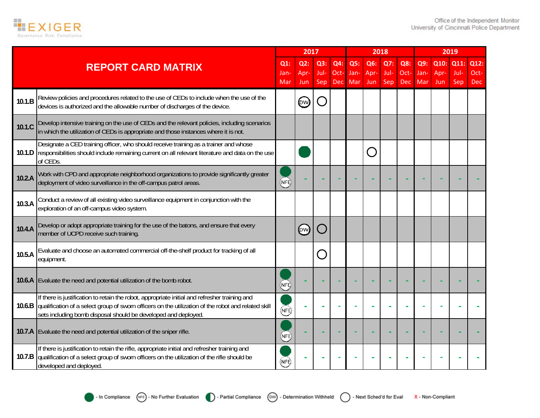

|        |                                                                                                                                                                                                                                                                        |                       | 2017               |                     |                           |                    |                    | 2018               |                           |                    |                     | 2019                |                            |
|--------|------------------------------------------------------------------------------------------------------------------------------------------------------------------------------------------------------------------------------------------------------------------------|-----------------------|--------------------|---------------------|---------------------------|--------------------|--------------------|--------------------|---------------------------|--------------------|---------------------|---------------------|----------------------------|
|        | <b>REPORT CARD MATRIX</b>                                                                                                                                                                                                                                              | $Q1$ :<br>Jan-<br>Mar | Q2:<br>Apr-<br>Jun | Q3:<br>Jul-<br>Sep. | Q4:<br>Oct-<br><b>Dec</b> | Q5:<br>Jan-<br>Mar | Q6:<br>Apr-<br>Jun | Q7:<br>Jul-<br>Sep | Q8:<br>Oct-<br><b>Dec</b> | Q9:<br>Jan-<br>Mar | Q10:<br>Apr-<br>Jun | Q11:<br>Jul-<br>Sep | Q12:<br>Oct-<br><b>Dec</b> |
| 10.1.B | Review policies and procedures related to the use of CEDs to include when the use of the<br>devices is authorized and the allowable number of discharges of the device.                                                                                                |                       | (ew)               |                     |                           |                    |                    |                    |                           |                    |                     |                     |                            |
| 10.1.C | Develop intensive training on the use of CEDs and the relevant policies, including scenarios<br>in which the utilization of CEDs is appropriate and those instances where it is not.                                                                                   |                       |                    |                     |                           |                    |                    |                    |                           |                    |                     |                     |                            |
| 10.1.D | Designate a CED training officer, who should receive training as a trainer and whose<br>responsibilities should include remaining current on all relevant literature and data on the use<br>of CEDs.                                                                   |                       |                    |                     |                           |                    |                    |                    |                           |                    |                     |                     |                            |
| 10.2.A | Work with CPD and appropriate neighborhood organizations to provide significantly greater<br>deployment of video surveillance in the off-campus patrol areas.                                                                                                          | <b>NFE</b>            |                    |                     |                           |                    |                    |                    |                           |                    |                     |                     |                            |
| 10.3.A | Conduct a review of all existing video surveillance equipment in conjunction with the<br>exploration of an off-campus video system.                                                                                                                                    |                       |                    |                     |                           |                    |                    |                    |                           |                    |                     |                     |                            |
| 10.4.A | Develop or adopt appropriate training for the use of the batons, and ensure that every<br>member of UCPD receive such training.                                                                                                                                        |                       | (ew)               |                     |                           |                    |                    |                    |                           |                    |                     |                     |                            |
| 10.5.A | Evaluate and choose an automated commercial off-the-shelf product for tracking of all<br>equipment.                                                                                                                                                                    |                       |                    |                     |                           |                    |                    |                    |                           |                    |                     |                     |                            |
| 10.6.A | Evaluate the need and potential utilization of the bomb robot.                                                                                                                                                                                                         | NFE,                  |                    |                     |                           |                    |                    |                    |                           |                    |                     |                     |                            |
| 10.6.B | If there is justification to retain the robot, appropriate initial and refresher training and<br>qualification of a select group of sworn officers on the utilization of the robot and related skill<br>sets including bomb disposal should be developed and deployed. | (NFE)                 |                    |                     |                           |                    |                    |                    |                           |                    |                     |                     |                            |
| 10.7.A | Evaluate the need and potential utilization of the sniper rifle.                                                                                                                                                                                                       | (NFE)                 |                    |                     |                           |                    |                    |                    |                           |                    |                     |                     |                            |
| 10.7.B | If there is justification to retain the rifle, appropriate initial and refresher training and<br>qualification of a select group of sworn officers on the utilization of the rifle should be<br>developed and deployed.                                                | NFE                   |                    |                     |                           |                    |                    |                    |                           |                    |                     |                     |                            |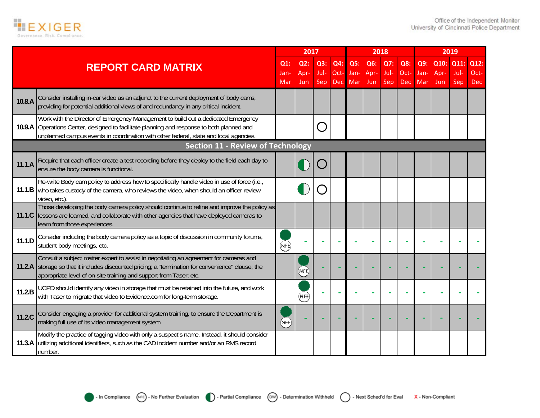

|        |                                                                                                                                                                                                                                                                          |                       | 2017                |                    |                           |                    |                    | 2018               |                           |                    |                     | 2019                |                            |
|--------|--------------------------------------------------------------------------------------------------------------------------------------------------------------------------------------------------------------------------------------------------------------------------|-----------------------|---------------------|--------------------|---------------------------|--------------------|--------------------|--------------------|---------------------------|--------------------|---------------------|---------------------|----------------------------|
|        | <b>REPORT CARD MATRIX</b>                                                                                                                                                                                                                                                | $Q1$ :<br>Jan-<br>Mar | Q2:<br>Apr-<br>Jun. | Q3:<br>Jul-<br>Sep | Q4:<br>Oct-<br><b>Dec</b> | Q5:<br>Jan-<br>Mar | Q6:<br>Apr-<br>Jun | Q7:<br>Jul-<br>Sep | Q8:<br>Oct-<br><b>Dec</b> | Q9:<br>Jan-<br>Mar | Q10:<br>Apr-<br>Jun | Q11:<br>Jul-<br>Sep | Q12:<br>Oct-<br><b>Dec</b> |
| 10.8.A | Consider installing in-car video as an adjunct to the current deployment of body cams,<br>providing for potential additional views of and redundancy in any critical incident.                                                                                           |                       |                     |                    |                           |                    |                    |                    |                           |                    |                     |                     |                            |
|        | Work with the Director of Emergency Management to build out a dedicated Emergency<br>10.9.A Operations Center, designed to facilitate planning and response to both planned and<br>unplanned campus events in coordination with other federal, state and local agencies. |                       |                     |                    |                           |                    |                    |                    |                           |                    |                     |                     |                            |
|        | <b>Section 11 - Review of Technology</b>                                                                                                                                                                                                                                 |                       |                     |                    |                           |                    |                    |                    |                           |                    |                     |                     |                            |
| 11.1.A | Require that each officer create a test recording before they deploy to the field each day to<br>ensure the body camera is functional.                                                                                                                                   |                       |                     |                    |                           |                    |                    |                    |                           |                    |                     |                     |                            |
|        | Re-write Body cam policy to address how to specifically handle video in use of force (i.e.,<br>11.1.B who takes custody of the camera, who reviews the video, when should an officer review<br>video, etc.)                                                              |                       |                     |                    |                           |                    |                    |                    |                           |                    |                     |                     |                            |
| 11.1C  | Those developing the body camera policy should continue to refine and improve the policy as<br>lessons are learned, and collaborate with other agencies that have deployed cameras to<br>learn from those experiences.                                                   |                       |                     |                    |                           |                    |                    |                    |                           |                    |                     |                     |                            |
| 11.1.D | Consider including the body camera policy as a topic of discussion in community forums,<br>student body meetings, etc.                                                                                                                                                   | (NFE)                 |                     |                    |                           |                    |                    |                    |                           |                    |                     |                     |                            |
|        | Consult a subject matter expert to assist in negotiating an agreement for cameras and<br>11.2.A storage so that it includes discounted pricing; a "termination for convenience" clause; the<br>appropriate level of on-site training and support from Taser; etc.        |                       | NFE)                |                    |                           |                    |                    |                    |                           |                    |                     |                     |                            |
| 11.2.B | UCPD should identify any video in storage that must be retained into the future, and work<br>with Taser to migrate that video to Evidence.com for long-term storage.                                                                                                     |                       | (NFE)               |                    |                           |                    |                    |                    |                           |                    |                     |                     |                            |
| 11.2.C | Consider engaging a provider for additional system training, to ensure the Department is<br>making full use of its video management system                                                                                                                               | (NFE)                 |                     |                    |                           |                    |                    |                    |                           |                    |                     |                     |                            |
|        | Modify the practice of tagging video with only a suspect's name. Instead, it should consider<br>11.3.A utilizing additional identifiers, such as the CAD incident number and/or an RMS record<br>number.                                                                 |                       |                     |                    |                           |                    |                    |                    |                           |                    |                     |                     |                            |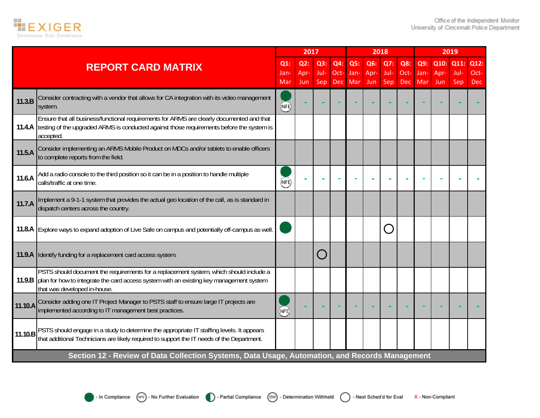

|         |                                                                                                                                                                                                                            |                    | 2017               |                    |                           |                    |                    | 2018                      |                           |                    |                     | 2019                |                            |
|---------|----------------------------------------------------------------------------------------------------------------------------------------------------------------------------------------------------------------------------|--------------------|--------------------|--------------------|---------------------------|--------------------|--------------------|---------------------------|---------------------------|--------------------|---------------------|---------------------|----------------------------|
|         | <b>REPORT CARD MATRIX</b>                                                                                                                                                                                                  | Q1:<br>Jan-<br>Mar | Q2:<br>Apr-<br>Jun | Q3:<br>Jul-<br>Sep | Q4:<br>Oct-<br><b>Dec</b> | Q5:<br>Jan-<br>Mar | Q6:<br>Apr-<br>Jun | Q7:<br>Jul-<br><b>Sep</b> | Q8:<br>Oct-<br><b>Dec</b> | Q9:<br>Jan-<br>Mar | Q10:<br>Apr-<br>Jun | Q11:<br>Jul-<br>Sep | Q12:<br>Oct-<br><b>Dec</b> |
| 11.3.B  | Consider contracting with a vendor that allows for CA integration with its video management<br>system.                                                                                                                     | <b>NFE</b>         |                    |                    |                           |                    |                    |                           |                           |                    |                     |                     |                            |
|         | Ensure that all business/functional requirements for ARMS are clearly documented and that<br>11.4.A testing of the upgraded ARMS is conducted against those requirements before the system is<br>accepted.                 |                    |                    |                    |                           |                    |                    |                           |                           |                    |                     |                     |                            |
| 11.5.A  | Consider implementing an ARMS Mobile Product on MDCs and/or tablets to enable officers<br>to complete reports from the field.                                                                                              |                    |                    |                    |                           |                    |                    |                           |                           |                    |                     |                     |                            |
| 11.6.A  | Add a radio console to the third position so it can be in a position to handle multiple<br>calls/traffic at one time.                                                                                                      | (NFE)              |                    |                    |                           |                    |                    |                           |                           |                    |                     |                     |                            |
| 11.7.A  | Implement a 9-1-1 system that provides the actual geo location of the call, as is standard in<br>dispatch centers across the country.                                                                                      |                    |                    |                    |                           |                    |                    |                           |                           |                    |                     |                     |                            |
|         | 11.8.A Explore ways to expand adoption of Live Safe on campus and potentially off-campus as well.                                                                                                                          |                    |                    |                    |                           |                    |                    |                           |                           |                    |                     |                     |                            |
|         | 11.9.A Identify funding for a replacement card access system.                                                                                                                                                              |                    |                    |                    |                           |                    |                    |                           |                           |                    |                     |                     |                            |
|         | PSTS should document the requirements for a replacement system, which should include a<br>11.9.B   plan for how to integrate the card access system with an existing key management system<br>that was developed in-house. |                    |                    |                    |                           |                    |                    |                           |                           |                    |                     |                     |                            |
| 11.10.A | Consider adding one IT Project Manager to PSTS staff to ensure large IT projects are<br>implemented according to IT management best practices.                                                                             | NFE)               |                    |                    |                           |                    |                    |                           |                           |                    |                     |                     |                            |
| 11.10.B | PSTS should engage in a study to determine the appropriate IT staffing levels. It appears<br>that additional Technicians are likely required to support the IT needs of the Department.                                    |                    |                    |                    |                           |                    |                    |                           |                           |                    |                     |                     |                            |
|         | Section 12 - Review of Data Collection Systems, Data Usage, Automation, and Records Management                                                                                                                             |                    |                    |                    |                           |                    |                    |                           |                           |                    |                     |                     |                            |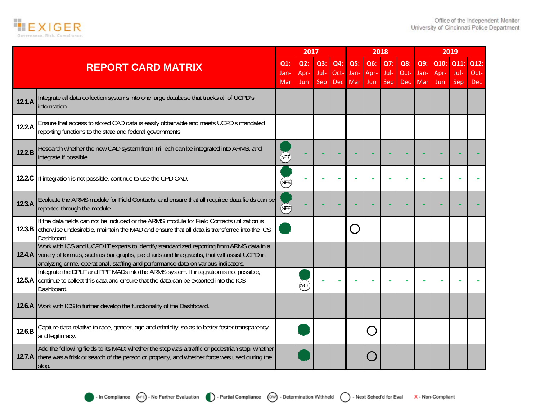

|        |                                                                                                                                                                                                                                                                                       |            | 2017               |             |             |                                        | 2018        |                    |                    |             | 2019               |             |                    |  |
|--------|---------------------------------------------------------------------------------------------------------------------------------------------------------------------------------------------------------------------------------------------------------------------------------------|------------|--------------------|-------------|-------------|----------------------------------------|-------------|--------------------|--------------------|-------------|--------------------|-------------|--------------------|--|
|        | <b>REPORT CARD MATRIX</b>                                                                                                                                                                                                                                                             | Q1:        | Q2:                | Q3:         | Q4:         | Q5:                                    | Q6:         | Q7:                | Q8:                | Q9:         | Q10:               | Q11         | Q12:               |  |
|        |                                                                                                                                                                                                                                                                                       | Jan<br>Mar | Apr-<br><b>Jun</b> | Jul-<br>Sep | Oct-<br>Dec | Jan-<br>Mar                            | Apr-<br>Jun | Jul-<br><b>Sep</b> | Oct-<br><b>Dec</b> | Jan-<br>Mar | Apr-<br><b>Jun</b> | Jul-<br>Sep | Oct-<br><b>Dec</b> |  |
| 12.1.A | Integrate all data collection systems into one large database that tracks all of UCPD's<br>information.                                                                                                                                                                               |            |                    |             |             |                                        |             |                    |                    |             |                    |             |                    |  |
| 12.2.A | Ensure that access to stored CAD data is easily obtainable and meets UCPD's mandated<br>reporting functions to the state and federal governments                                                                                                                                      |            |                    |             |             |                                        |             |                    |                    |             |                    |             |                    |  |
| 12.2.B | Research whether the new CAD system from TriTech can be integrated into ARMS, and<br>integrate if possible.                                                                                                                                                                           | (NFE)      |                    |             |             |                                        |             |                    |                    |             |                    |             |                    |  |
|        | 12.2.C If integration is not possible, continue to use the CPD CAD.                                                                                                                                                                                                                   | NFÈ)       |                    |             |             |                                        |             |                    |                    |             |                    |             |                    |  |
| 12.3.A | Evaluate the ARMS module for Field Contacts, and ensure that all required data fields can be<br>reported through the module.                                                                                                                                                          | NFE)       |                    |             |             |                                        |             |                    |                    |             |                    |             |                    |  |
|        | If the data fields can not be included or the ARMS' module for Field Contacts utilization is<br>12.3.B otherwise undesirable, maintain the MAD and ensure that all data is transferred into the ICS<br>Dashboard.                                                                     |            |                    |             |             | $\begin{array}{c} \square \end{array}$ |             |                    |                    |             |                    |             |                    |  |
|        | Work with ICS and UCPD IT experts to identify standardized reporting from ARMS data in a<br>12.4.A variety of formats, such as bar graphs, pie charts and line graphs, that will assist UCPD in<br>analyzing crime, operational, staffing and performance data on various indicators. |            |                    |             |             |                                        |             |                    |                    |             |                    |             |                    |  |
|        | Integrate the DPLF and PPF MADs into the ARMS system. If integration is not possible,<br>12.5.A continue to collect this data and ensure that the data can be exported into the ICS<br>Dashboard.                                                                                     |            | (NFE)              |             |             |                                        |             |                    |                    |             |                    |             |                    |  |
| 12.6.A | Work with ICS to further develop the functionality of the Dashboard.                                                                                                                                                                                                                  |            |                    |             |             |                                        |             |                    |                    |             |                    |             |                    |  |
| 12.6.B | Capture data relative to race, gender, age and ethnicity, so as to better foster transparency<br>and legitimacy.                                                                                                                                                                      |            |                    |             |             |                                        |             |                    |                    |             |                    |             |                    |  |
|        | Add the following fields to its MAD: whether the stop was a traffic or pedestrian stop, whether<br>12.7.A there was a frisk or search of the person or property, and whether force was used during the<br>stop.                                                                       |            |                    |             |             |                                        |             |                    |                    |             |                    |             |                    |  |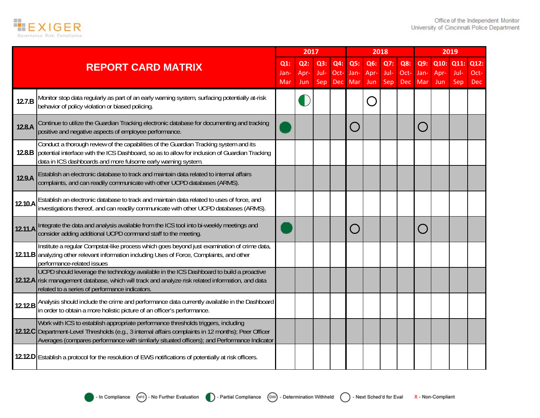

|                           |                                                                                                                                                                                                                                                                                          |                       | 2017                  |                    |                           |                                             | 2018               |                    |                           |                    | 2019                |                     |                            |  |
|---------------------------|------------------------------------------------------------------------------------------------------------------------------------------------------------------------------------------------------------------------------------------------------------------------------------------|-----------------------|-----------------------|--------------------|---------------------------|---------------------------------------------|--------------------|--------------------|---------------------------|--------------------|---------------------|---------------------|----------------------------|--|
| <b>REPORT CARD MATRIX</b> |                                                                                                                                                                                                                                                                                          | $Q1$ :<br>Jan-<br>Mar | $Q2$ :<br>Apr-<br>Jun | Q3:<br>Jul-<br>Sep | Q4:<br>Oct-<br><b>Dec</b> | Q5:<br>Jan-<br>Mar                          | Q6:<br>Apr-<br>Jun | Q7:<br>Jul-<br>Sep | Q8:<br>Oct-<br><b>Dec</b> | Q9:<br>Jan-<br>Mar | Q10:<br>Apr-<br>Jun | Q11:<br>Jul-<br>Sep | Q12:<br>Oct-<br><b>Dec</b> |  |
| 12.7.B                    | Monitor stop data regularly as part of an early warning system, surfacing potentially at-risk<br>behavior of policy violation or biased policing.                                                                                                                                        |                       |                       |                    |                           |                                             |                    |                    |                           |                    |                     |                     |                            |  |
| 12.8.A                    | Continue to utilize the Guardian Tracking electronic database for documenting and tracking<br>positive and negative aspects of employee performance.                                                                                                                                     |                       |                       |                    |                           | $\left(\begin{array}{c} \end{array}\right)$ |                    |                    |                           |                    |                     |                     |                            |  |
|                           | Conduct a thorough review of the capabilities of the Guardian Tracking system and its<br>12.8.B potential interface with the ICS Dashboard, so as to allow for inclusion of Guardian Tracking<br>data in ICS dashboards and more fulsome early warning system.                           |                       |                       |                    |                           |                                             |                    |                    |                           |                    |                     |                     |                            |  |
| 12.9.A                    | Establish an electronic database to track and maintain data related to internal affairs<br>complaints, and can readily communicate with other UCPD databases (ARMS).                                                                                                                     |                       |                       |                    |                           |                                             |                    |                    |                           |                    |                     |                     |                            |  |
| 12.10.A                   | Establish an electronic database to track and maintain data related to uses of force, and<br>investigations thereof, and can readily communicate with other UCPD databases (ARMS).                                                                                                       |                       |                       |                    |                           |                                             |                    |                    |                           |                    |                     |                     |                            |  |
| 12.11.A                   | Integrate the data and analysis available from the ICS tool into bi-weekly meetings and<br>consider adding additional UCPD command staff to the meeting.                                                                                                                                 |                       |                       |                    |                           | $\bigcap$                                   |                    |                    |                           |                    |                     |                     |                            |  |
|                           | Institute a regular Compstat-like process which goes beyond just examination of crime data,<br>12.11.B analyzing other relevant information including Uses of Force, Complaints, and other<br>performance-related issues                                                                 |                       |                       |                    |                           |                                             |                    |                    |                           |                    |                     |                     |                            |  |
|                           | UCPD should leverage the technology available in the ICS Dashboard to build a proactive<br>12.12.A risk management database, which will track and analyze risk related information, and data<br>related to a series of performance indicators                                            |                       |                       |                    |                           |                                             |                    |                    |                           |                    |                     |                     |                            |  |
| 12.12.B                   | Analysis should include the crime and performance data currently available in the Dashboard<br>in order to obtain a more holistic picture of an officer's performance.                                                                                                                   |                       |                       |                    |                           |                                             |                    |                    |                           |                    |                     |                     |                            |  |
|                           | Work with ICS to establish appropriate performance thresholds triggers, including<br>12.12.C Department-Level Thresholds (e.g., 3 internal affairs complaints in 12 months); Peer Officer<br>Averages (compares performance with similarly situated officers); and Performance Indicator |                       |                       |                    |                           |                                             |                    |                    |                           |                    |                     |                     |                            |  |
|                           | 12.12.D Establish a protocol for the resolution of EWS notifications of potentially at risk officers.                                                                                                                                                                                    |                       |                       |                    |                           |                                             |                    |                    |                           |                    |                     |                     |                            |  |